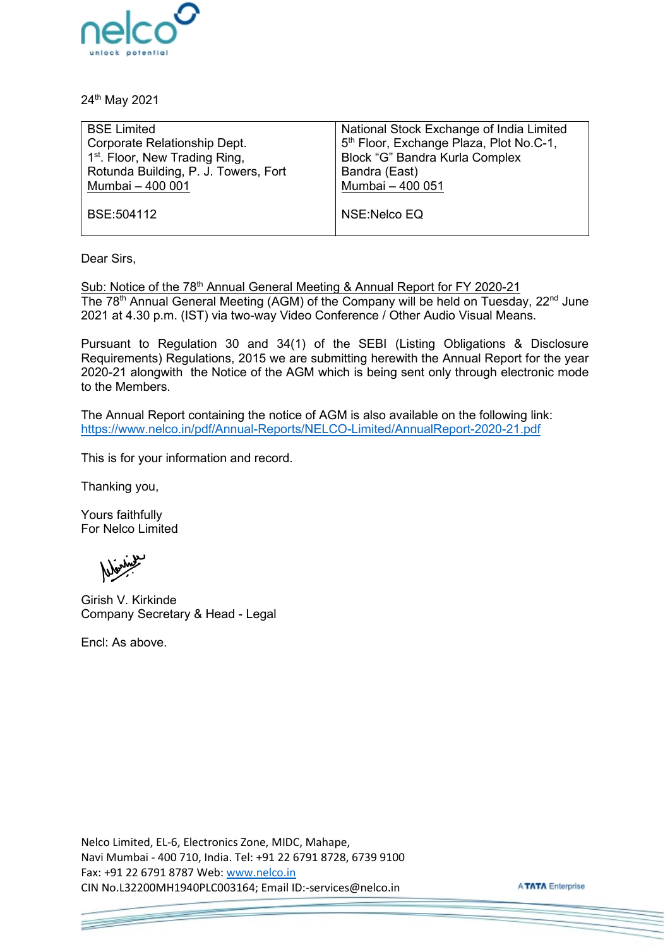

24th May 2021

| <b>BSE Limited</b>                         | National Stock Exchange of India Limited            |
|--------------------------------------------|-----------------------------------------------------|
| Corporate Relationship Dept.               | 5 <sup>th</sup> Floor, Exchange Plaza, Plot No.C-1, |
| 1 <sup>st</sup> . Floor, New Trading Ring, | Block "G" Bandra Kurla Complex                      |
| Rotunda Building, P. J. Towers, Fort       | Bandra (East)                                       |
| Mumbai - 400 001                           | Mumbai - 400 051                                    |
|                                            |                                                     |
| BSE:504112                                 | NSE:Nelco EQ                                        |
|                                            |                                                     |

Dear Sirs,

Sub: Notice of the 78<sup>th</sup> Annual General Meeting & Annual Report for FY 2020-21 The  $78<sup>th</sup>$  Annual General Meeting (AGM) of the Company will be held on Tuesday,  $22<sup>nd</sup>$  June 2021 at 4.30 p.m. (IST) via two-way Video Conference / Other Audio Visual Means.

Pursuant to Regulation 30 and 34(1) of the SEBI (Listing Obligations & Disclosure Requirements) Regulations, 2015 we are submitting herewith the Annual Report for the year 2020-21 alongwith the Notice of the AGM which is being sent only through electronic mode to the Members.

The Annual Report containing the notice of AGM is also available on the following link: <https://www.nelco.in/pdf/Annual-Reports/NELCO-Limited/AnnualReport-2020-21.pdf>

This is for your information and record.

Thanking you,

Yours faithfully For Nelco Limited

Girish V. Kirkinde Company Secretary & Head - Legal

Encl: As above.

Nelco Limited, EL-6, Electronics Zone, MIDC, Mahape, Navi Mumbai - 400 710, India. Tel: +91 22 6791 8728, 6739 9100 Fax: +91 22 6791 8787 Web: [www.nelco.in](http://www.nelco.in/)  CIN No.L32200MH1940PLC003164; Email ID:-services@nelco.in

**ATATA** Enterprise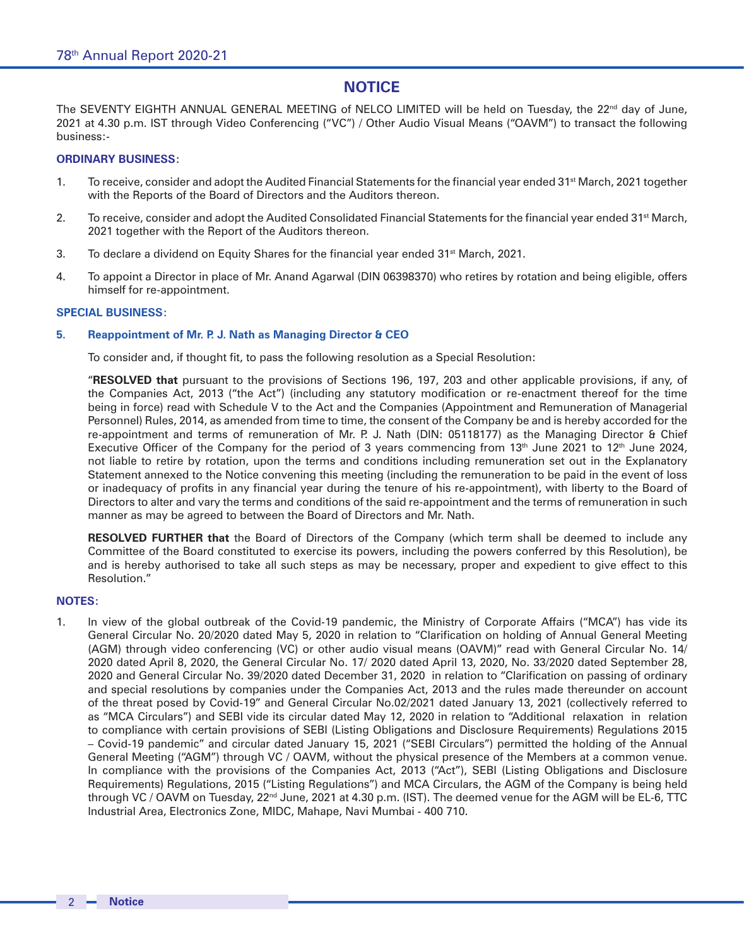# **NOTICE**

The SEVENTY EIGHTH ANNUAL GENERAL MEETING of NELCO LIMITED will be held on Tuesday, the 22<sup>nd</sup> day of June, 2021 at 4.30 p.m. IST through Video Conferencing ("VC") / Other Audio Visual Means ("OAVM") to transact the following business:-

## **ORDINARY BUSINESS:**

- 1. To receive, consider and adopt the Audited Financial Statements for the financial year ended 31<sup>st</sup> March, 2021 together with the Reports of the Board of Directors and the Auditors thereon.
- 2. To receive, consider and adopt the Audited Consolidated Financial Statements for the financial year ended 31<sup>st</sup> March, 2021 together with the Report of the Auditors thereon.
- 3. To declare a dividend on Equity Shares for the financial year ended  $31<sup>st</sup>$  March, 2021.
- 4. To appoint a Director in place of Mr. Anand Agarwal (DIN 06398370) who retires by rotation and being eligible, offers himself for re-appointment.

### **SPECIAL BUSINESS:**

### **5. Reappointment of Mr. P. J. Nath as Managing Director & CEO**

To consider and, if thought fit, to pass the following resolution as a Special Resolution:

"**RESOLVED that** pursuant to the provisions of Sections 196, 197, 203 and other applicable provisions, if any, of the Companies Act, 2013 ("the Act") (including any statutory modification or re-enactment thereof for the time being in force) read with Schedule V to the Act and the Companies (Appointment and Remuneration of Managerial Personnel) Rules, 2014, as amended from time to time, the consent of the Company be and is hereby accorded for the re-appointment and terms of remuneration of Mr. P. J. Nath (DIN: 05118177) as the Managing Director & Chief Executive Officer of the Company for the period of 3 years commencing from  $13<sup>th</sup>$  June 2021 to  $12<sup>th</sup>$  June 2024, not liable to retire by rotation, upon the terms and conditions including remuneration set out in the Explanatory Statement annexed to the Notice convening this meeting (including the remuneration to be paid in the event of loss or inadequacy of profits in any financial year during the tenure of his re-appointment), with liberty to the Board of Directors to alter and vary the terms and conditions of the said re-appointment and the terms of remuneration in such manner as may be agreed to between the Board of Directors and Mr. Nath.

**RESOLVED FURTHER that** the Board of Directors of the Company (which term shall be deemed to include any Committee of the Board constituted to exercise its powers, including the powers conferred by this Resolution), be and is hereby authorised to take all such steps as may be necessary, proper and expedient to give effect to this Resolution."

## **NOTES:**

1. In view of the global outbreak of the Covid-19 pandemic, the Ministry of Corporate Affairs ("MCA") has vide its General Circular No. 20/2020 dated May 5, 2020 in relation to "Clarification on holding of Annual General Meeting (AGM) through video conferencing (VC) or other audio visual means (OAVM)" read with General Circular No. 14/ 2020 dated April 8, 2020, the General Circular No. 17/ 2020 dated April 13, 2020, No. 33/2020 dated September 28, 2020 and General Circular No. 39/2020 dated December 31, 2020 in relation to "Clarification on passing of ordinary and special resolutions by companies under the Companies Act, 2013 and the rules made thereunder on account of the threat posed by Covid-19" and General Circular No.02/2021 dated January 13, 2021 (collectively referred to as "MCA Circulars") and SEBI vide its circular dated May 12, 2020 in relation to "Additional relaxation in relation to compliance with certain provisions of SEBI (Listing Obligations and Disclosure Requirements) Regulations 2015 – Covid-19 pandemic" and circular dated January 15, 2021 ("SEBI Circulars") permitted the holding of the Annual General Meeting ("AGM") through VC / OAVM, without the physical presence of the Members at a common venue. In compliance with the provisions of the Companies Act, 2013 ("Act"), SEBI (Listing Obligations and Disclosure Requirements) Regulations, 2015 ("Listing Regulations") and MCA Circulars, the AGM of the Company is being held through VC / OAVM on Tuesday, 22<sup>nd</sup> June, 2021 at 4.30 p.m. (IST). The deemed venue for the AGM will be EL-6, TTC Industrial Area, Electronics Zone, MIDC, Mahape, Navi Mumbai - 400 710.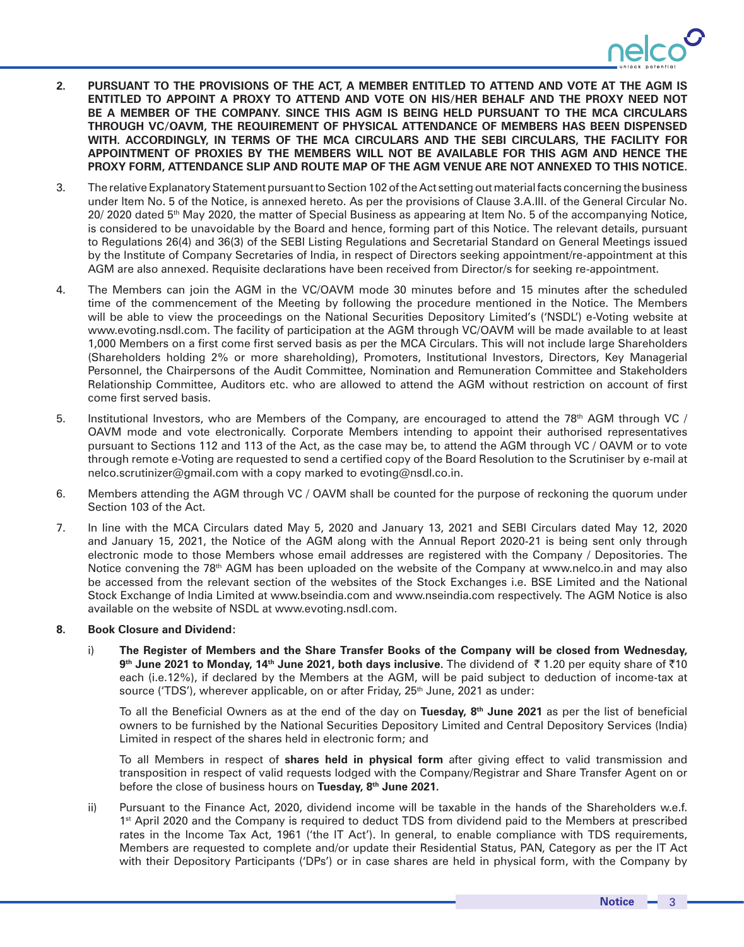

- **2. PURSUANT TO THE PROVISIONS OF THE ACT, A MEMBER ENTITLED TO ATTEND AND VOTE AT THE AGM IS ENTITLED TO APPOINT A PROXY TO ATTEND AND VOTE ON HIS/HER BEHALF AND THE PROXY NEED NOT BE A MEMBER OF THE COMPANY. SINCE THIS AGM IS BEING HELD PURSUANT TO THE MCA CIRCULARS THROUGH VC/OAVM, THE REQUIREMENT OF PHYSICAL ATTENDANCE OF MEMBERS HAS BEEN DISPENSED WITH. ACCORDINGLY, IN TERMS OF THE MCA CIRCULARS AND THE SEBI CIRCULARS, THE FACILITY FOR APPOINTMENT OF PROXIES BY THE MEMBERS WILL NOT BE AVAILABLE FOR THIS AGM AND HENCE THE PROXY FORM, ATTENDANCE SLIP AND ROUTE MAP OF THE AGM VENUE ARE NOT ANNEXED TO THIS NOTICE.**
- 3. The relative Explanatory Statement pursuant to Section 102 of the Act setting out material facts concerning the business under Item No. 5 of the Notice, is annexed hereto. As per the provisions of Clause 3.A.III. of the General Circular No. 20/ 2020 dated 5<sup>th</sup> May 2020, the matter of Special Business as appearing at Item No. 5 of the accompanying Notice, is considered to be unavoidable by the Board and hence, forming part of this Notice. The relevant details, pursuant to Regulations 26(4) and 36(3) of the SEBI Listing Regulations and Secretarial Standard on General Meetings issued by the Institute of Company Secretaries of India, in respect of Directors seeking appointment/re-appointment at this AGM are also annexed. Requisite declarations have been received from Director/s for seeking re-appointment.
- 4. The Members can join the AGM in the VC/OAVM mode 30 minutes before and 15 minutes after the scheduled time of the commencement of the Meeting by following the procedure mentioned in the Notice. The Members will be able to view the proceedings on the National Securities Depository Limited's ('NSDL') e-Voting website at www.evoting.nsdl.com. The facility of participation at the AGM through VC/OAVM will be made available to at least 1,000 Members on a first come first served basis as per the MCA Circulars. This will not include large Shareholders (Shareholders holding 2% or more shareholding), Promoters, Institutional Investors, Directors, Key Managerial Personnel, the Chairpersons of the Audit Committee, Nomination and Remuneration Committee and Stakeholders Relationship Committee, Auditors etc. who are allowed to attend the AGM without restriction on account of first come first served basis.
- 5. Institutional Investors, who are Members of the Company, are encouraged to attend the 78<sup>th</sup> AGM through VC / OAVM mode and vote electronically. Corporate Members intending to appoint their authorised representatives pursuant to Sections 112 and 113 of the Act, as the case may be, to attend the AGM through VC / OAVM or to vote through remote e-Voting are requested to send a certified copy of the Board Resolution to the Scrutiniser by e-mail at nelco.scrutinizer@gmail.com with a copy marked to evoting@nsdl.co.in.
- 6. Members attending the AGM through VC / OAVM shall be counted for the purpose of reckoning the quorum under Section 103 of the Act.
- 7. In line with the MCA Circulars dated May 5, 2020 and January 13, 2021 and SEBI Circulars dated May 12, 2020 and January 15, 2021, the Notice of the AGM along with the Annual Report 2020-21 is being sent only through electronic mode to those Members whose email addresses are registered with the Company / Depositories. The Notice convening the 78<sup>th</sup> AGM has been uploaded on the website of the Company at www.nelco.in and may also be accessed from the relevant section of the websites of the Stock Exchanges i.e. BSE Limited and the National Stock Exchange of India Limited at www.bseindia.com and www.nseindia.com respectively. The AGM Notice is also available on the website of NSDL at www.evoting.nsdl.com.

### **8. Book Closure and Dividend:**

i) **The Register of Members and the Share Transfer Books of the Company will be closed from Wednesday, 9<sup>th</sup> June 2021 to Monday, 14<sup>th</sup> June 2021, both days inclusive.** The dividend of ₹1.20 per equity share of ₹10 each (i.e.12%), if declared by the Members at the AGM, will be paid subject to deduction of income-tax at source ('TDS'), wherever applicable, on or after Friday,  $25<sup>th</sup>$  June, 2021 as under:

To all the Beneficial Owners as at the end of the day on **Tuesday, 8th June 2021** as per the list of beneficial owners to be furnished by the National Securities Depository Limited and Central Depository Services (India) Limited in respect of the shares held in electronic form; and

To all Members in respect of **shares held in physical form** after giving effect to valid transmission and transposition in respect of valid requests lodged with the Company/Registrar and Share Transfer Agent on or before the close of business hours on **Tuesday, 8th June 2021.**

ii) Pursuant to the Finance Act, 2020, dividend income will be taxable in the hands of the Shareholders w.e.f. 1<sup>st</sup> April 2020 and the Company is required to deduct TDS from dividend paid to the Members at prescribed rates in the Income Tax Act, 1961 ('the IT Act'). In general, to enable compliance with TDS requirements, Members are requested to complete and/or update their Residential Status, PAN, Category as per the IT Act with their Depository Participants ('DPs') or in case shares are held in physical form, with the Company by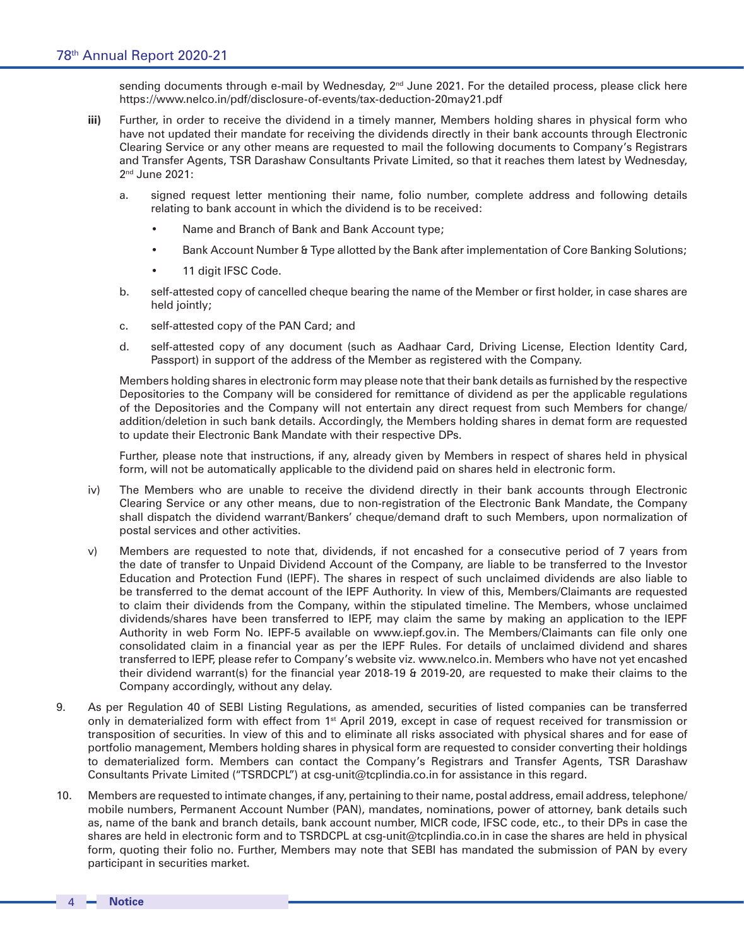sending documents through e-mail by Wednesday, 2<sup>nd</sup> June 2021. For the detailed process, please click here https://www.nelco.in/pdf/disclosure-of-events/tax-deduction-20may21.pdf

- **iii)** Further, in order to receive the dividend in a timely manner, Members holding shares in physical form who have not updated their mandate for receiving the dividends directly in their bank accounts through Electronic Clearing Service or any other means are requested to mail the following documents to Company's Registrars and Transfer Agents, TSR Darashaw Consultants Private Limited, so that it reaches them latest by Wednesday, 2<sup>nd</sup> June 2021:
	- a. signed request letter mentioning their name, folio number, complete address and following details relating to bank account in which the dividend is to be received:
		- Name and Branch of Bank and Bank Account type;
		- Bank Account Number & Type allotted by the Bank after implementation of Core Banking Solutions;
		- 11 digit IFSC Code.
	- b. self-attested copy of cancelled cheque bearing the name of the Member or first holder, in case shares are held jointly;
	- c. self-attested copy of the PAN Card; and
	- d. self-attested copy of any document (such as Aadhaar Card, Driving License, Election Identity Card, Passport) in support of the address of the Member as registered with the Company.

Members holding shares in electronic form may please note that their bank details as furnished by the respective Depositories to the Company will be considered for remittance of dividend as per the applicable regulations of the Depositories and the Company will not entertain any direct request from such Members for change/ addition/deletion in such bank details. Accordingly, the Members holding shares in demat form are requested to update their Electronic Bank Mandate with their respective DPs.

Further, please note that instructions, if any, already given by Members in respect of shares held in physical form, will not be automatically applicable to the dividend paid on shares held in electronic form.

- iv) The Members who are unable to receive the dividend directly in their bank accounts through Electronic Clearing Service or any other means, due to non-registration of the Electronic Bank Mandate, the Company shall dispatch the dividend warrant/Bankers' cheque/demand draft to such Members, upon normalization of postal services and other activities.
- v) Members are requested to note that, dividends, if not encashed for a consecutive period of 7 years from the date of transfer to Unpaid Dividend Account of the Company, are liable to be transferred to the Investor Education and Protection Fund (IEPF). The shares in respect of such unclaimed dividends are also liable to be transferred to the demat account of the IEPF Authority. In view of this, Members/Claimants are requested to claim their dividends from the Company, within the stipulated timeline. The Members, whose unclaimed dividends/shares have been transferred to IEPF, may claim the same by making an application to the IEPF Authority in web Form No. IEPF-5 available on www.iepf.gov.in. The Members/Claimants can file only one consolidated claim in a financial year as per the IEPF Rules. For details of unclaimed dividend and shares transferred to IEPF, please refer to Company's website viz. www.nelco.in. Members who have not yet encashed their dividend warrant(s) for the financial year 2018-19 & 2019-20, are requested to make their claims to the Company accordingly, without any delay.
- 9. As per Regulation 40 of SEBI Listing Regulations, as amended, securities of listed companies can be transferred only in dematerialized form with effect from 1<sup>st</sup> April 2019, except in case of request received for transmission or transposition of securities. In view of this and to eliminate all risks associated with physical shares and for ease of portfolio management, Members holding shares in physical form are requested to consider converting their holdings to dematerialized form. Members can contact the Company's Registrars and Transfer Agents, TSR Darashaw Consultants Private Limited ("TSRDCPL") at csg-unit@tcplindia.co.in for assistance in this regard.
- 10. Members are requested to intimate changes, if any, pertaining to their name, postal address, email address, telephone/ mobile numbers, Permanent Account Number (PAN), mandates, nominations, power of attorney, bank details such as, name of the bank and branch details, bank account number, MICR code, IFSC code, etc., to their DPs in case the shares are held in electronic form and to TSRDCPL at csg-unit@tcplindia.co.in in case the shares are held in physical form, quoting their folio no. Further, Members may note that SEBI has mandated the submission of PAN by every participant in securities market.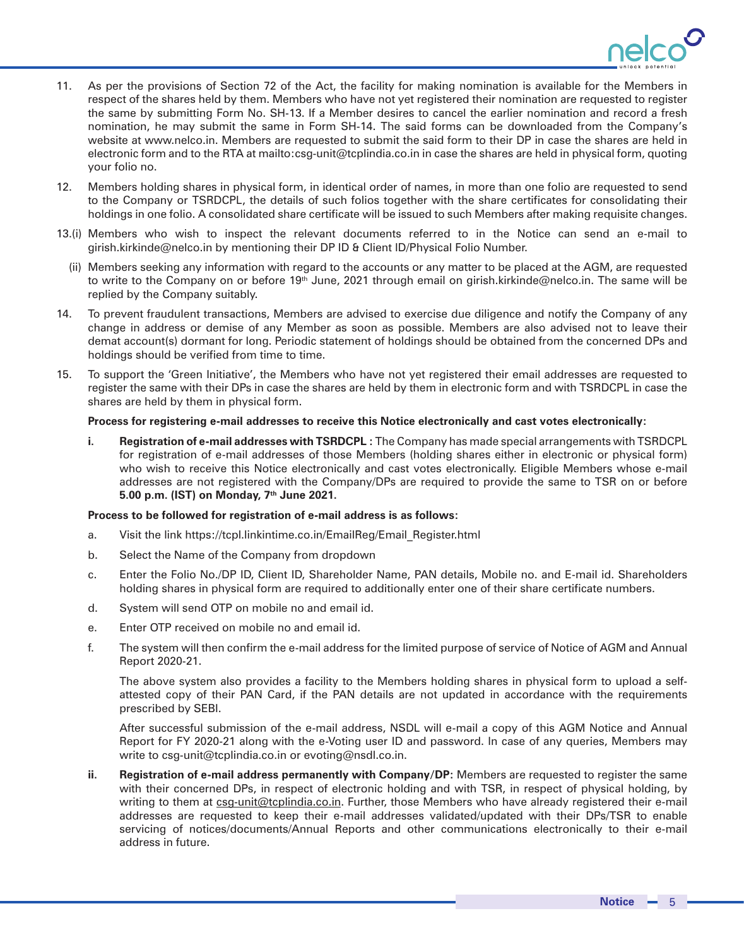

- 11. As per the provisions of Section 72 of the Act, the facility for making nomination is available for the Members in respect of the shares held by them. Members who have not yet registered their nomination are requested to register the same by submitting Form No. SH-13. If a Member desires to cancel the earlier nomination and record a fresh nomination, he may submit the same in Form SH-14. The said forms can be downloaded from the Company's website at www.nelco.in. Members are requested to submit the said form to their DP in case the shares are held in electronic form and to the RTA at mailto:csg-unit@tcplindia.co.in in case the shares are held in physical form, quoting your folio no.
- 12. Members holding shares in physical form, in identical order of names, in more than one folio are requested to send to the Company or TSRDCPL, the details of such folios together with the share certificates for consolidating their holdings in one folio. A consolidated share certificate will be issued to such Members after making requisite changes.
- 13.(i) Members who wish to inspect the relevant documents referred to in the Notice can send an e-mail to girish.kirkinde@nelco.in by mentioning their DP ID & Client ID/Physical Folio Number.
	- (ii) Members seeking any information with regard to the accounts or any matter to be placed at the AGM, are requested to write to the Company on or before 19<sup>th</sup> June, 2021 through email on girish.kirkinde@nelco.in. The same will be replied by the Company suitably.
- 14. To prevent fraudulent transactions, Members are advised to exercise due diligence and notify the Company of any change in address or demise of any Member as soon as possible. Members are also advised not to leave their demat account(s) dormant for long. Periodic statement of holdings should be obtained from the concerned DPs and holdings should be verified from time to time.
- 15. To support the 'Green Initiative', the Members who have not yet registered their email addresses are requested to register the same with their DPs in case the shares are held by them in electronic form and with TSRDCPL in case the shares are held by them in physical form.

### **Process for registering e-mail addresses to receive this Notice electronically and cast votes electronically:**

**i. Registration of e-mail addresses with TSRDCPL :** The Company has made special arrangements with TSRDCPL for registration of e-mail addresses of those Members (holding shares either in electronic or physical form) who wish to receive this Notice electronically and cast votes electronically. Eligible Members whose e-mail addresses are not registered with the Company/DPs are required to provide the same to TSR on or before **5.00 p.m. (IST) on Monday, 7th June 2021.**

### **Process to be followed for registration of e-mail address is as follows:**

- a. Visit the link https://tcpl.linkintime.co.in/EmailReg/Email\_Register.html
- b. Select the Name of the Company from dropdown
- c. Enter the Folio No./DP ID, Client ID, Shareholder Name, PAN details, Mobile no. and E-mail id. Shareholders holding shares in physical form are required to additionally enter one of their share certificate numbers.
- d. System will send OTP on mobile no and email id.
- e. Enter OTP received on mobile no and email id.
- f. The system will then confirm the e-mail address for the limited purpose of service of Notice of AGM and Annual Report 2020-21.

The above system also provides a facility to the Members holding shares in physical form to upload a selfattested copy of their PAN Card, if the PAN details are not updated in accordance with the requirements prescribed by SEBI.

After successful submission of the e-mail address, NSDL will e-mail a copy of this AGM Notice and Annual Report for FY 2020-21 along with the e-Voting user ID and password. In case of any queries, Members may write to csg-unit@tcplindia.co.in or evoting@nsdl.co.in.

**ii. Registration of e-mail address permanently with Company/DP:** Members are requested to register the same with their concerned DPs, in respect of electronic holding and with TSR, in respect of physical holding, by writing to them at csg-unit@tcplindia.co.in. Further, those Members who have already registered their e-mail addresses are requested to keep their e-mail addresses validated/updated with their DPs/TSR to enable servicing of notices/documents/Annual Reports and other communications electronically to their e-mail address in future.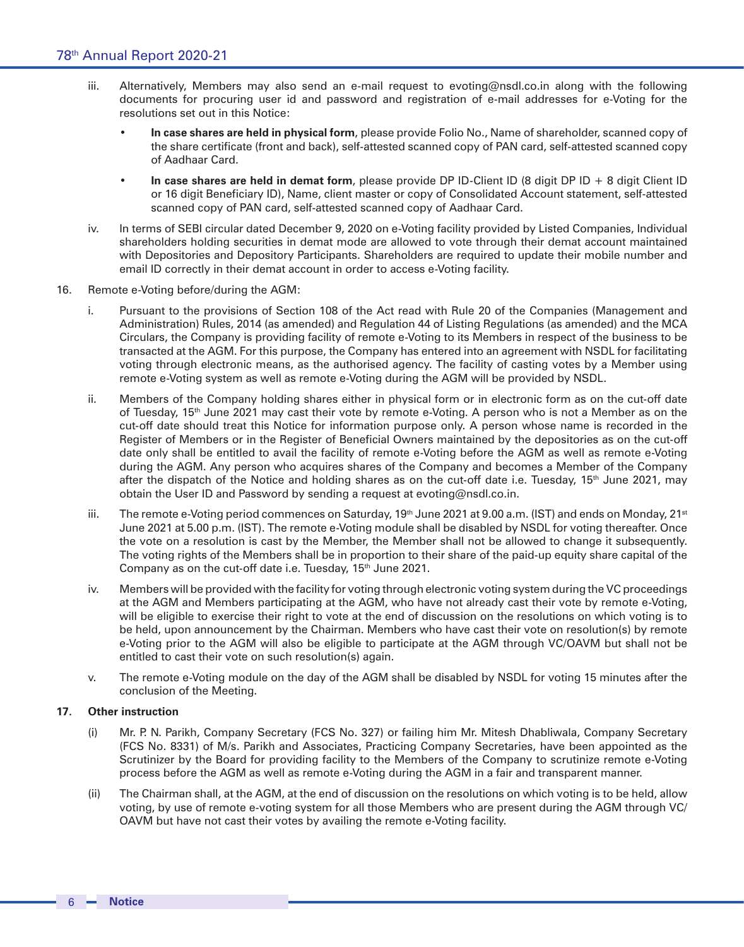- iii. Alternatively, Members may also send an e-mail request to evoting@nsdl.co.in along with the following documents for procuring user id and password and registration of e-mail addresses for e-Voting for the resolutions set out in this Notice:
	- **• In case shares are held in physical form**, please provide Folio No., Name of shareholder, scanned copy of the share certificate (front and back), self-attested scanned copy of PAN card, self-attested scanned copy of Aadhaar Card.
	- **• In case shares are held in demat form**, please provide DP ID-Client ID (8 digit DP ID + 8 digit Client ID or 16 digit Beneficiary ID), Name, client master or copy of Consolidated Account statement, self-attested scanned copy of PAN card, self-attested scanned copy of Aadhaar Card.
- iv. In terms of SEBI circular dated December 9, 2020 on e-Voting facility provided by Listed Companies, Individual shareholders holding securities in demat mode are allowed to vote through their demat account maintained with Depositories and Depository Participants. Shareholders are required to update their mobile number and email ID correctly in their demat account in order to access e-Voting facility.
- 16. Remote e-Voting before/during the AGM:
	- i. Pursuant to the provisions of Section 108 of the Act read with Rule 20 of the Companies (Management and Administration) Rules, 2014 (as amended) and Regulation 44 of Listing Regulations (as amended) and the MCA Circulars, the Company is providing facility of remote e-Voting to its Members in respect of the business to be transacted at the AGM. For this purpose, the Company has entered into an agreement with NSDL for facilitating voting through electronic means, as the authorised agency. The facility of casting votes by a Member using remote e-Voting system as well as remote e-Voting during the AGM will be provided by NSDL.
	- ii. Members of the Company holding shares either in physical form or in electronic form as on the cut-off date of Tuesday, 15<sup>th</sup> June 2021 may cast their vote by remote e-Voting. A person who is not a Member as on the cut-off date should treat this Notice for information purpose only. A person whose name is recorded in the Register of Members or in the Register of Beneficial Owners maintained by the depositories as on the cut-off date only shall be entitled to avail the facility of remote e-Voting before the AGM as well as remote e-Voting during the AGM. Any person who acquires shares of the Company and becomes a Member of the Company after the dispatch of the Notice and holding shares as on the cut-off date i.e. Tuesday,  $15<sup>th</sup>$  June 2021, may obtain the User ID and Password by sending a request at evoting@nsdl.co.in.
	- iii. The remote e-Voting period commences on Saturday,  $19<sup>th</sup>$  June 2021 at 9.00 a.m. (IST) and ends on Monday, 21<sup>st</sup> June 2021 at 5.00 p.m. (IST). The remote e-Voting module shall be disabled by NSDL for voting thereafter. Once the vote on a resolution is cast by the Member, the Member shall not be allowed to change it subsequently. The voting rights of the Members shall be in proportion to their share of the paid-up equity share capital of the Company as on the cut-off date i.e. Tuesday, 15<sup>th</sup> June 2021.
	- iv. Members will be provided with the facility for voting through electronic voting system during the VC proceedings at the AGM and Members participating at the AGM, who have not already cast their vote by remote e-Voting, will be eligible to exercise their right to vote at the end of discussion on the resolutions on which voting is to be held, upon announcement by the Chairman. Members who have cast their vote on resolution(s) by remote e-Voting prior to the AGM will also be eligible to participate at the AGM through VC/OAVM but shall not be entitled to cast their vote on such resolution(s) again.
	- v. The remote e-Voting module on the day of the AGM shall be disabled by NSDL for voting 15 minutes after the conclusion of the Meeting.

# **17. Other instruction**

- (i) Mr. P. N. Parikh, Company Secretary (FCS No. 327) or failing him Mr. Mitesh Dhabliwala, Company Secretary (FCS No. 8331) of M/s. Parikh and Associates, Practicing Company Secretaries, have been appointed as the Scrutinizer by the Board for providing facility to the Members of the Company to scrutinize remote e-Voting process before the AGM as well as remote e-Voting during the AGM in a fair and transparent manner.
- (ii) The Chairman shall, at the AGM, at the end of discussion on the resolutions on which voting is to be held, allow voting, by use of remote e-voting system for all those Members who are present during the AGM through VC/ OAVM but have not cast their votes by availing the remote e-Voting facility.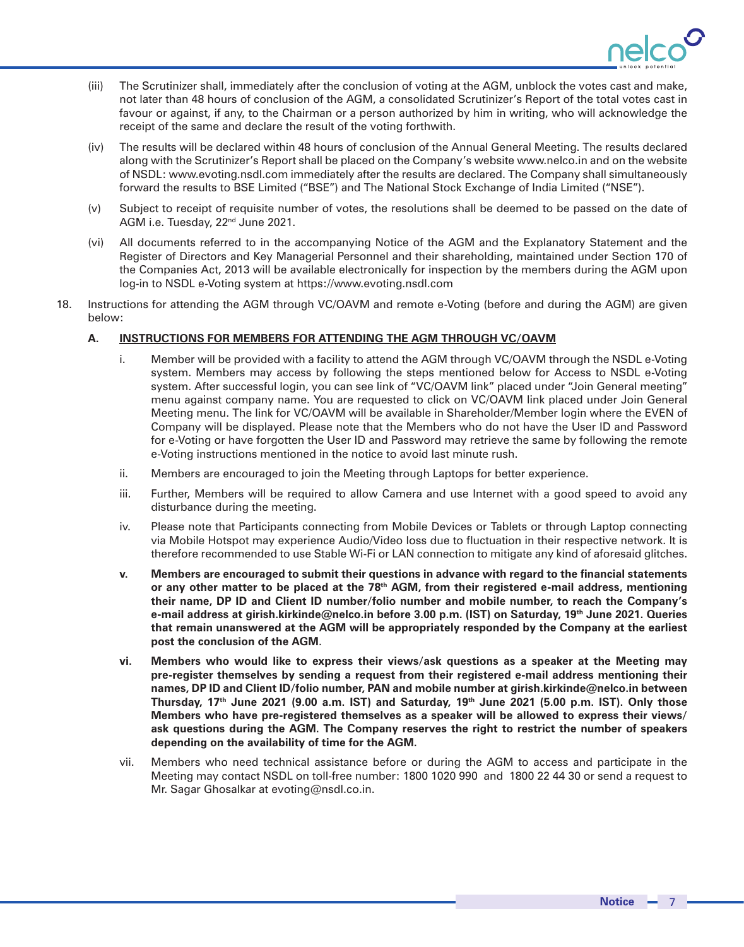

- (iii) The Scrutinizer shall, immediately after the conclusion of voting at the AGM, unblock the votes cast and make, not later than 48 hours of conclusion of the AGM, a consolidated Scrutinizer's Report of the total votes cast in favour or against, if any, to the Chairman or a person authorized by him in writing, who will acknowledge the receipt of the same and declare the result of the voting forthwith.
- (iv) The results will be declared within 48 hours of conclusion of the Annual General Meeting. The results declared along with the Scrutinizer's Report shall be placed on the Company's website www.nelco.in and on the website of NSDL: www.evoting.nsdl.com immediately after the results are declared. The Company shall simultaneously forward the results to BSE Limited ("BSE") and The National Stock Exchange of India Limited ("NSE").
- (v) Subject to receipt of requisite number of votes, the resolutions shall be deemed to be passed on the date of AGM i.e. Tuesday, 22nd June 2021.
- (vi) All documents referred to in the accompanying Notice of the AGM and the Explanatory Statement and the Register of Directors and Key Managerial Personnel and their shareholding, maintained under Section 170 of the Companies Act, 2013 will be available electronically for inspection by the members during the AGM upon log-in to NSDL e-Voting system at https://www.evoting.nsdl.com
- 18. Instructions for attending the AGM through VC/OAVM and remote e-Voting (before and during the AGM) are given below:

## **A. INSTRUCTIONS FOR MEMBERS FOR ATTENDING THE AGM THROUGH VC/OAVM**

- i. Member will be provided with a facility to attend the AGM through VC/OAVM through the NSDL e-Voting system. Members may access by following the steps mentioned below for Access to NSDL e-Voting system. After successful login, you can see link of "VC/OAVM link" placed under "Join General meeting" menu against company name. You are requested to click on VC/OAVM link placed under Join General Meeting menu. The link for VC/OAVM will be available in Shareholder/Member login where the EVEN of Company will be displayed. Please note that the Members who do not have the User ID and Password for e-Voting or have forgotten the User ID and Password may retrieve the same by following the remote e-Voting instructions mentioned in the notice to avoid last minute rush.
- ii. Members are encouraged to join the Meeting through Laptops for better experience.
- iii. Further, Members will be required to allow Camera and use Internet with a good speed to avoid any disturbance during the meeting.
- iv. Please note that Participants connecting from Mobile Devices or Tablets or through Laptop connecting via Mobile Hotspot may experience Audio/Video loss due to fluctuation in their respective network. It is therefore recommended to use Stable Wi-Fi or LAN connection to mitigate any kind of aforesaid glitches.
- **v. Members are encouraged to submit their questions in advance with regard to the financial statements or any other matter to be placed at the 78th AGM, from their registered e-mail address, mentioning their name, DP ID and Client ID number/folio number and mobile number, to reach the Company's e-mail address at girish.kirkinde@nelco.in before 3.00 p.m. (IST) on Saturday, 19th June 2021. Queries that remain unanswered at the AGM will be appropriately responded by the Company at the earliest post the conclusion of the AGM**.
- **vi. Members who would like to express their views/ask questions as a speaker at the Meeting may pre-register themselves by sending a request from their registered e-mail address mentioning their names, DP ID and Client ID/folio number, PAN and mobile number at girish.kirkinde@nelco.in between Thursday, 17th June 2021 (9.00 a.m. IST) and Saturday, 19th June 2021 (5.00 p.m. IST). Only those Members who have pre-registered themselves as a speaker will be allowed to express their views/ ask questions during the AGM. The Company reserves the right to restrict the number of speakers depending on the availability of time for the AGM.**
- vii. Members who need technical assistance before or during the AGM to access and participate in the Meeting may contact NSDL on toll-free number: 1800 1020 990 and 1800 22 44 30 or send a request to Mr. Sagar Ghosalkar at evoting@nsdl.co.in.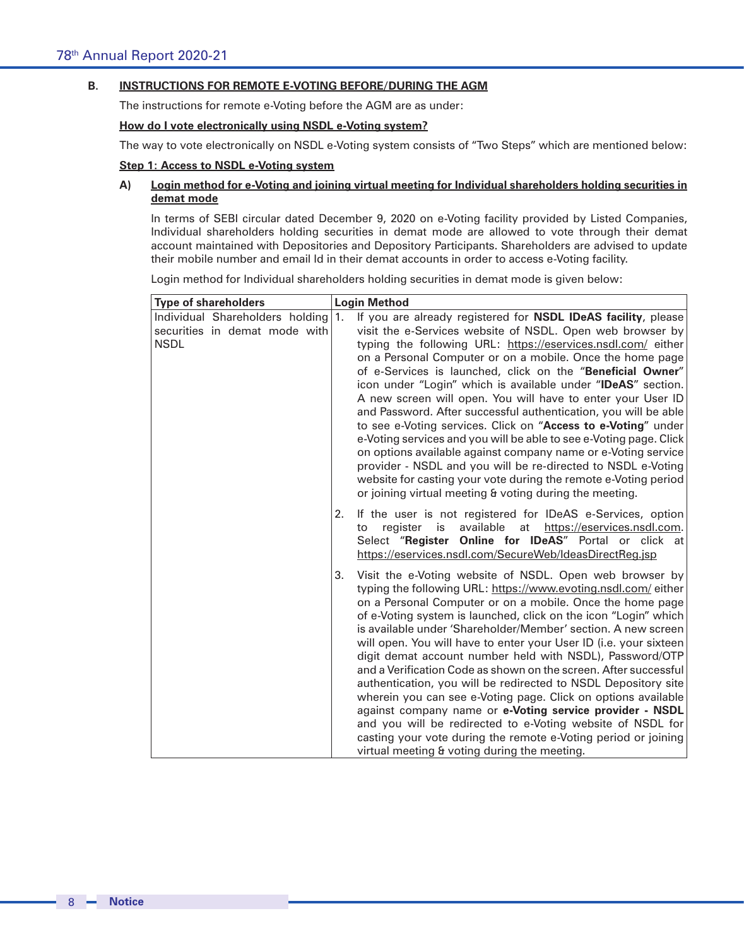# **B. INSTRUCTIONS FOR REMOTE E-VOTING BEFORE/DURING THE AGM**

The instructions for remote e-Voting before the AGM are as under:

# **How do I vote electronically using NSDL e-Voting system?**

The way to vote electronically on NSDL e-Voting system consists of "Two Steps" which are mentioned below:

# **Step 1: Access to NSDL e-Voting system**

# **A) Login method for e-Voting and joining virtual meeting for Individual shareholders holding securities in demat mode**

In terms of SEBI circular dated December 9, 2020 on e-Voting facility provided by Listed Companies, Individual shareholders holding securities in demat mode are allowed to vote through their demat account maintained with Depositories and Depository Participants. Shareholders are advised to update their mobile number and email Id in their demat accounts in order to access e-Voting facility.

Login method for Individual shareholders holding securities in demat mode is given below:

| <b>Type of shareholders</b>                                                     | <b>Login Method</b>                                                                                                                                                                                                                                                                                                                                                                                                                                                                                                                                                                                                                                                                                                                                                                                                                                                                                                                 |
|---------------------------------------------------------------------------------|-------------------------------------------------------------------------------------------------------------------------------------------------------------------------------------------------------------------------------------------------------------------------------------------------------------------------------------------------------------------------------------------------------------------------------------------------------------------------------------------------------------------------------------------------------------------------------------------------------------------------------------------------------------------------------------------------------------------------------------------------------------------------------------------------------------------------------------------------------------------------------------------------------------------------------------|
| Individual Shareholders holding<br>securities in demat mode with<br><b>NSDL</b> | If you are already registered for NSDL IDeAS facility, please<br>1.<br>visit the e-Services website of NSDL. Open web browser by<br>typing the following URL: https://eservices.nsdl.com/ either<br>on a Personal Computer or on a mobile. Once the home page<br>of e-Services is launched, click on the "Beneficial Owner"<br>icon under "Login" which is available under "IDeAS" section.<br>A new screen will open. You will have to enter your User ID<br>and Password. After successful authentication, you will be able<br>to see e-Voting services. Click on "Access to e-Voting" under<br>e-Voting services and you will be able to see e-Voting page. Click<br>on options available against company name or e-Voting service<br>provider - NSDL and you will be re-directed to NSDL e-Voting<br>website for casting your vote during the remote e-Voting period<br>or joining virtual meeting & voting during the meeting. |
|                                                                                 | If the user is not registered for IDeAS e-Services, option<br>2.<br>register<br>is<br>available at https://eservices.nsdl.com.<br>to<br>Select "Register Online for IDeAS" Portal or click at<br>https://eservices.nsdl.com/SecureWeb/IdeasDirectReg.jsp                                                                                                                                                                                                                                                                                                                                                                                                                                                                                                                                                                                                                                                                            |
|                                                                                 | Visit the e-Voting website of NSDL. Open web browser by<br>3.<br>typing the following URL: https://www.evoting.nsdl.com/ either<br>on a Personal Computer or on a mobile. Once the home page<br>of e-Voting system is launched, click on the icon "Login" which<br>is available under 'Shareholder/Member' section. A new screen<br>will open. You will have to enter your User ID (i.e. your sixteen<br>digit demat account number held with NSDL), Password/OTP<br>and a Verification Code as shown on the screen. After successful<br>authentication, you will be redirected to NSDL Depository site<br>wherein you can see e-Voting page. Click on options available<br>against company name or e-Voting service provider - NSDL<br>and you will be redirected to e-Voting website of NSDL for<br>casting your vote during the remote e-Voting period or joining<br>virtual meeting & voting during the meeting.                |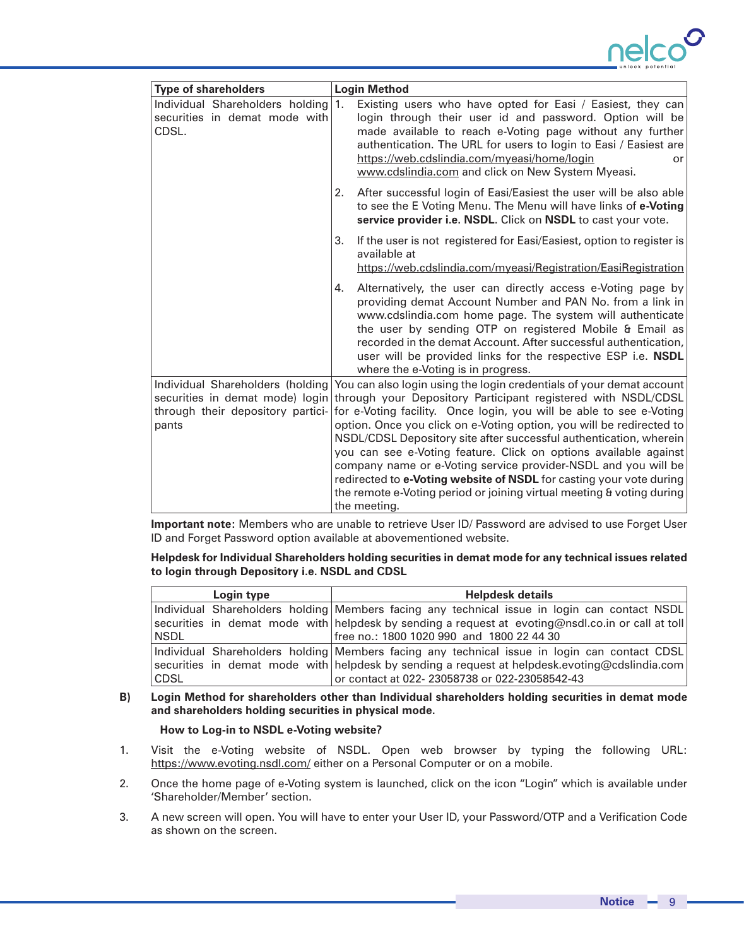

| <b>Type of shareholders</b>                                               | <b>Login Method</b>                                                                                                                                                                                                                                                                                                                                                                                                              |
|---------------------------------------------------------------------------|----------------------------------------------------------------------------------------------------------------------------------------------------------------------------------------------------------------------------------------------------------------------------------------------------------------------------------------------------------------------------------------------------------------------------------|
| Individual Shareholders holding<br>securities in demat mode with<br>CDSL. | $\mathbf{1}$ .<br>Existing users who have opted for Easi / Easiest, they can<br>login through their user id and password. Option will be<br>made available to reach e-Voting page without any further<br>authentication. The URL for users to login to Easi / Easiest are<br>https://web.cdslindia.com/myeasi/home/login<br>or<br>www.cdslindia.com and click on New System Myeasi.                                              |
|                                                                           | After successful login of Easi/Easiest the user will be also able<br>2.<br>to see the E Voting Menu. The Menu will have links of e-Voting<br>service provider i.e. NSDL. Click on NSDL to cast your vote.                                                                                                                                                                                                                        |
|                                                                           | If the user is not registered for Easi/Easiest, option to register is<br>3.<br>available at<br>https://web.cdslindia.com/myeasi/Registration/EasiRegistration                                                                                                                                                                                                                                                                    |
|                                                                           | Alternatively, the user can directly access e-Voting page by<br>4.<br>providing demat Account Number and PAN No. from a link in<br>www.cdslindia.com home page. The system will authenticate<br>the user by sending OTP on registered Mobile & Email as<br>recorded in the demat Account. After successful authentication,<br>user will be provided links for the respective ESP i.e. NSDL<br>where the e-Voting is in progress. |
| Individual Shareholders (holding                                          | You can also login using the login credentials of your demat account<br>securities in demat mode) login through your Depository Participant registered with NSDL/CDSL                                                                                                                                                                                                                                                            |
| through their depository partici-                                         | for e-Voting facility. Once login, you will be able to see e-Voting                                                                                                                                                                                                                                                                                                                                                              |
| pants                                                                     | option. Once you click on e-Voting option, you will be redirected to                                                                                                                                                                                                                                                                                                                                                             |
|                                                                           | NSDL/CDSL Depository site after successful authentication, wherein                                                                                                                                                                                                                                                                                                                                                               |
|                                                                           | you can see e-Voting feature. Click on options available against                                                                                                                                                                                                                                                                                                                                                                 |
|                                                                           | company name or e-Voting service provider-NSDL and you will be<br>redirected to e-Voting website of NSDL for casting your vote during                                                                                                                                                                                                                                                                                            |
|                                                                           | the remote e-Voting period or joining virtual meeting & voting during                                                                                                                                                                                                                                                                                                                                                            |
|                                                                           | the meeting.                                                                                                                                                                                                                                                                                                                                                                                                                     |

**Important note:** Members who are unable to retrieve User ID/ Password are advised to use Forget User ID and Forget Password option available at abovementioned website.

**Helpdesk for Individual Shareholders holding securities in demat mode for any technical issues related to login through Depository i.e. NSDL and CDSL**

|             | Login type | <b>Helpdesk details</b>                                                                           |
|-------------|------------|---------------------------------------------------------------------------------------------------|
|             |            | Individual Shareholders holding Members facing any technical issue in login can contact NSDL      |
|             |            | securities in demat mode with helpdesk by sending a request at evoting@nsdl.co.in or call at toll |
| <b>NSDL</b> |            | free no.: 1800 1020 990 and 1800 22 44 30                                                         |
|             |            | Individual Shareholders holding Members facing any technical issue in login can contact CDSL      |
|             |            | securities in demat mode with helpdesk by sending a request at helpdesk evoting@cdslindia.com     |
| CDSL        |            | or contact at 022-23058738 or 022-23058542-43                                                     |

## **B) Login Method for shareholders other than Individual shareholders holding securities in demat mode and shareholders holding securities in physical mode.**

### **How to Log-in to NSDL e-Voting website?**

- 1. Visit the e-Voting website of NSDL. Open web browser by typing the following URL: https://www.evoting.nsdl.com/ either on a Personal Computer or on a mobile.
- 2. Once the home page of e-Voting system is launched, click on the icon "Login" which is available under 'Shareholder/Member' section.
- 3. A new screen will open. You will have to enter your User ID, your Password/OTP and a Verification Code as shown on the screen.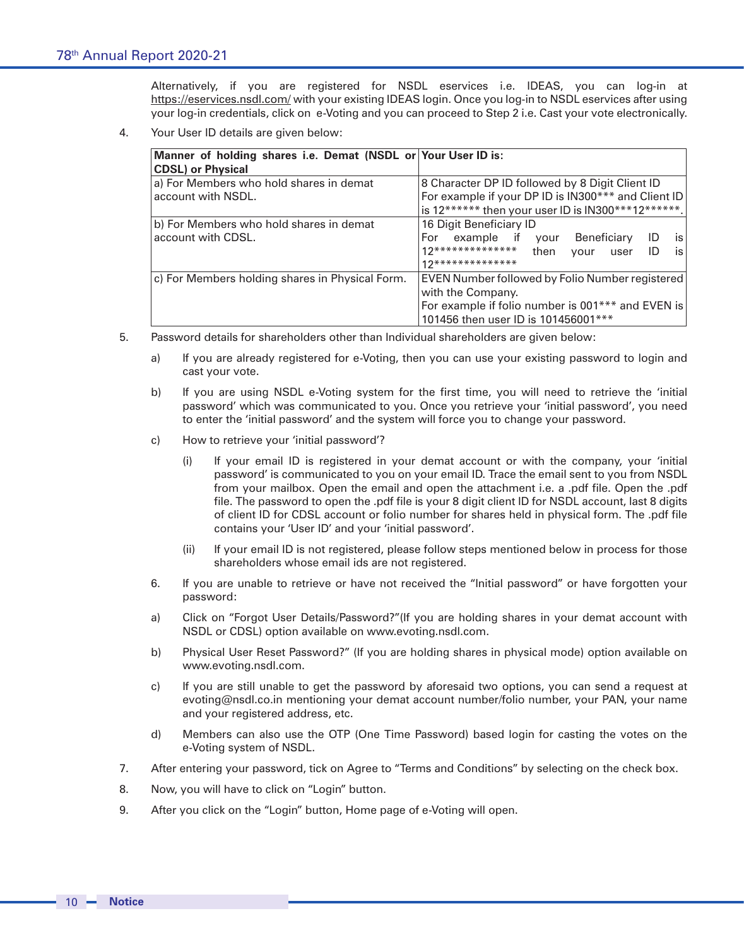Alternatively, if you are registered for NSDL eservices i.e. IDEAS, you can log-in at https://eservices.nsdl.com/ with your existing IDEAS login. Once you log-in to NSDL eservices after using your log-in credentials, click on e-Voting and you can proceed to Step 2 i.e. Cast your vote electronically.

4. Your User ID details are given below:

| Manner of holding shares i.e. Demat (NSDL or Your User ID is:<br><b>CDSL)</b> or Physical |                                                                                                                                                                  |
|-------------------------------------------------------------------------------------------|------------------------------------------------------------------------------------------------------------------------------------------------------------------|
| a) For Members who hold shares in demat<br>account with NSDL.                             | 8 Character DP ID followed by 8 Digit Client ID<br>For example if your DP ID is IN300*** and Client ID<br>is 12****** then your user ID is IN300***12******.     |
| b) For Members who hold shares in demat<br>account with CDSL.                             | 16 Digit Beneficiary ID<br>For example if your Beneficiary<br>is l<br>ID<br>12************** then<br>is<br>ID<br>vour<br>user<br>12**************                |
| c) For Members holding shares in Physical Form.                                           | EVEN Number followed by Folio Number registered<br>with the Company.<br>For example if folio number is 001*** and EVEN is<br>101456 then user ID is 101456001*** |

- 5. Password details for shareholders other than Individual shareholders are given below:
	- a) If you are already registered for e-Voting, then you can use your existing password to login and cast your vote.
	- b) If you are using NSDL e-Voting system for the first time, you will need to retrieve the 'initial password' which was communicated to you. Once you retrieve your 'initial password', you need to enter the 'initial password' and the system will force you to change your password.
	- c) How to retrieve your 'initial password'?
		- (i) If your email ID is registered in your demat account or with the company, your 'initial password' is communicated to you on your email ID. Trace the email sent to you from NSDL from your mailbox. Open the email and open the attachment i.e. a .pdf file. Open the .pdf file. The password to open the .pdf file is your 8 digit client ID for NSDL account, last 8 digits of client ID for CDSL account or folio number for shares held in physical form. The .pdf file contains your 'User ID' and your 'initial password'.
		- (ii) If your email ID is not registered, please follow steps mentioned below in process for those shareholders whose email ids are not registered.
	- 6. If you are unable to retrieve or have not received the "Initial password" or have forgotten your password:
	- a) Click on "Forgot User Details/Password?"(If you are holding shares in your demat account with NSDL or CDSL) option available on www.evoting.nsdl.com.
	- b) Physical User Reset Password?" (If you are holding shares in physical mode) option available on www.evoting.nsdl.com.
	- c) If you are still unable to get the password by aforesaid two options, you can send a request at evoting@nsdl.co.in mentioning your demat account number/folio number, your PAN, your name and your registered address, etc.
	- d) Members can also use the OTP (One Time Password) based login for casting the votes on the e-Voting system of NSDL.
- 7. After entering your password, tick on Agree to "Terms and Conditions" by selecting on the check box.
- 8. Now, you will have to click on "Login" button.
- 9. After you click on the "Login" button, Home page of e-Voting will open.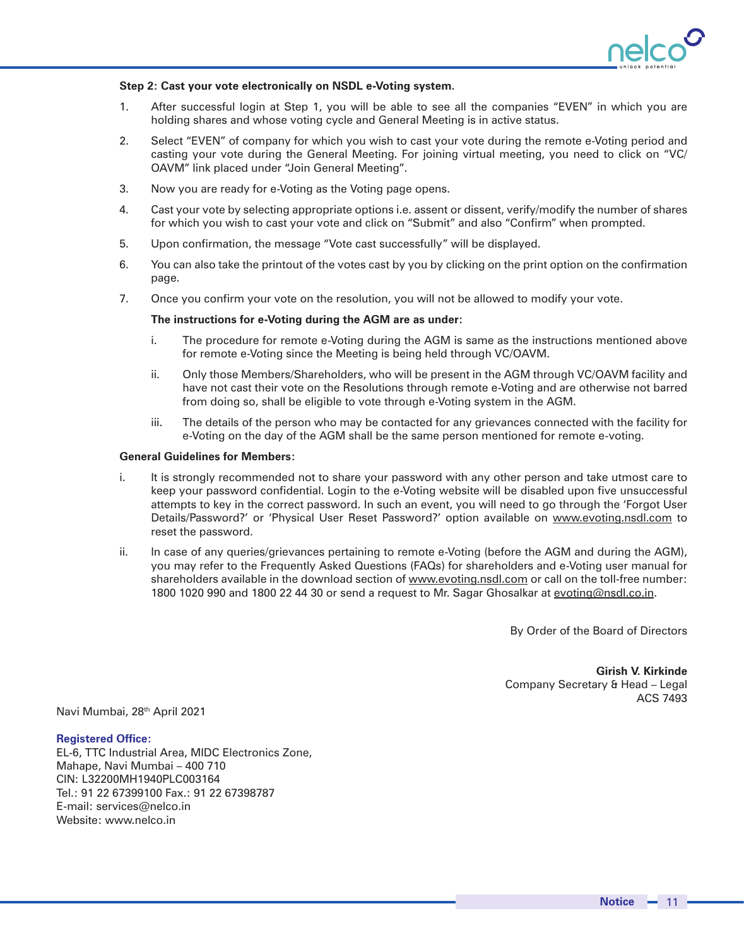

### **Step 2: Cast your vote electronically on NSDL e-Voting system.**

- 1. After successful login at Step 1, you will be able to see all the companies "EVEN" in which you are holding shares and whose voting cycle and General Meeting is in active status.
- 2. Select "EVEN" of company for which you wish to cast your vote during the remote e-Voting period and casting your vote during the General Meeting. For joining virtual meeting, you need to click on "VC/ OAVM" link placed under "Join General Meeting".
- 3. Now you are ready for e-Voting as the Voting page opens.
- 4. Cast your vote by selecting appropriate options i.e. assent or dissent, verify/modify the number of shares for which you wish to cast your vote and click on "Submit" and also "Confirm" when prompted.
- 5. Upon confirmation, the message "Vote cast successfully" will be displayed.
- 6. You can also take the printout of the votes cast by you by clicking on the print option on the confirmation page.
- 7. Once you confirm your vote on the resolution, you will not be allowed to modify your vote.

### **The instructions for e-Voting during the AGM are as under:**

- i. The procedure for remote e-Voting during the AGM is same as the instructions mentioned above for remote e-Voting since the Meeting is being held through VC/OAVM.
- ii. Only those Members/Shareholders, who will be present in the AGM through VC/OAVM facility and have not cast their vote on the Resolutions through remote e-Voting and are otherwise not barred from doing so, shall be eligible to vote through e-Voting system in the AGM.
- iii. The details of the person who may be contacted for any grievances connected with the facility for e-Voting on the day of the AGM shall be the same person mentioned for remote e-voting.

### **General Guidelines for Members:**

- i. It is strongly recommended not to share your password with any other person and take utmost care to keep your password confidential. Login to the e-Voting website will be disabled upon five unsuccessful attempts to key in the correct password. In such an event, you will need to go through the 'Forgot User Details/Password?' or 'Physical User Reset Password?' option available on www.evoting.nsdl.com to reset the password.
- ii. In case of any queries/grievances pertaining to remote e-Voting (before the AGM and during the AGM), you may refer to the Frequently Asked Questions (FAQs) for shareholders and e-Voting user manual for shareholders available in the download section of www.evoting.nsdl.com or call on the toll-free number: 1800 1020 990 and 1800 22 44 30 or send a request to Mr. Sagar Ghosalkar at evoting@nsdl.co.in.

By Order of the Board of Directors

**Girish V. Kirkinde** Company Secretary & Head – Legal ACS 7493

Navi Mumbai, 28<sup>th</sup> April 2021

### **Registered Office:**

EL-6, TTC Industrial Area, MIDC Electronics Zone, Mahape, Navi Mumbai – 400 710 CIN: L32200MH1940PLC003164 Tel.: 91 22 67399100 Fax.: 91 22 67398787 E-mail: services@nelco.in Website: www.nelco.in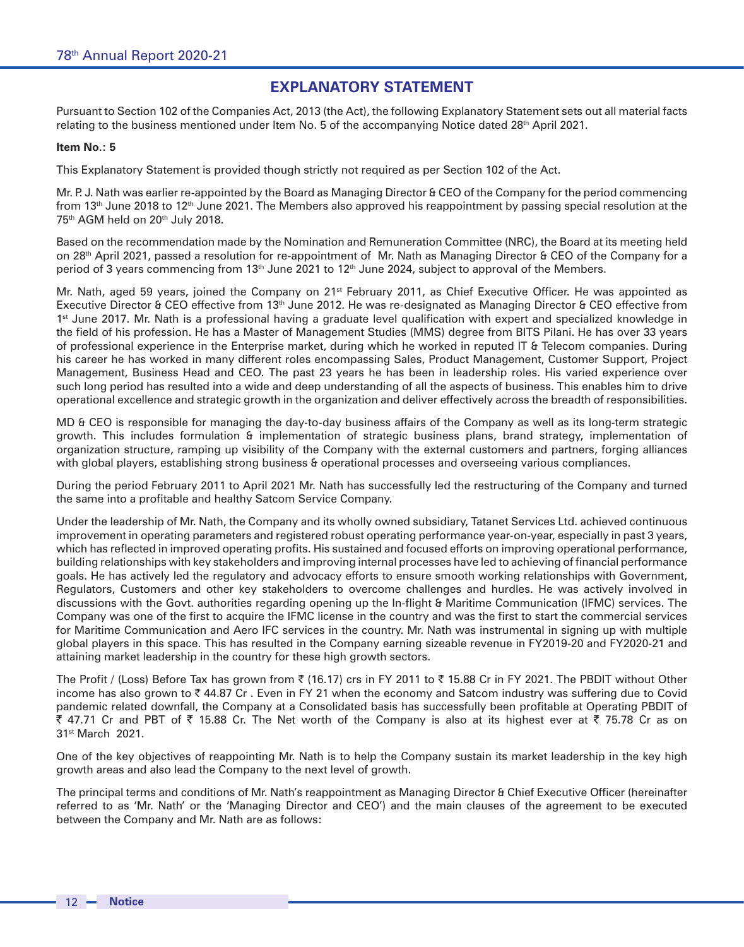# **EXPLANATORY STATEMENT**

Pursuant to Section 102 of the Companies Act, 2013 (the Act), the following Explanatory Statement sets out all material facts relating to the business mentioned under Item No. 5 of the accompanying Notice dated 28<sup>th</sup> April 2021.

### **Item No.: 5**

This Explanatory Statement is provided though strictly not required as per Section 102 of the Act.

Mr. P. J. Nath was earlier re-appointed by the Board as Managing Director & CEO of the Company for the period commencing from 13<sup>th</sup> June 2018 to 12<sup>th</sup> June 2021. The Members also approved his reappointment by passing special resolution at the 75<sup>th</sup> AGM held on 20<sup>th</sup> July 2018.

Based on the recommendation made by the Nomination and Remuneration Committee (NRC), the Board at its meeting held on 28th April 2021, passed a resolution for re-appointment of Mr. Nath as Managing Director & CEO of the Company for a period of 3 years commencing from 13<sup>th</sup> June 2021 to 12<sup>th</sup> June 2024, subject to approval of the Members.

Mr. Nath, aged 59 years, joined the Company on 21<sup>st</sup> February 2011, as Chief Executive Officer. He was appointed as Executive Director & CEO effective from 13<sup>th</sup> June 2012. He was re-designated as Managing Director & CEO effective from 1<sup>st</sup> June 2017. Mr. Nath is a professional having a graduate level qualification with expert and specialized knowledge in the field of his profession. He has a Master of Management Studies (MMS) degree from BITS Pilani. He has over 33 years of professional experience in the Enterprise market, during which he worked in reputed IT & Telecom companies. During his career he has worked in many different roles encompassing Sales, Product Management, Customer Support, Project Management, Business Head and CEO. The past 23 years he has been in leadership roles. His varied experience over such long period has resulted into a wide and deep understanding of all the aspects of business. This enables him to drive operational excellence and strategic growth in the organization and deliver effectively across the breadth of responsibilities.

MD & CEO is responsible for managing the day-to-day business affairs of the Company as well as its long-term strategic growth. This includes formulation & implementation of strategic business plans, brand strategy, implementation of organization structure, ramping up visibility of the Company with the external customers and partners, forging alliances with global players, establishing strong business & operational processes and overseeing various compliances.

During the period February 2011 to April 2021 Mr. Nath has successfully led the restructuring of the Company and turned the same into a profitable and healthy Satcom Service Company.

Under the leadership of Mr. Nath, the Company and its wholly owned subsidiary, Tatanet Services Ltd. achieved continuous improvement in operating parameters and registered robust operating performance year-on-year, especially in past 3 years, which has reflected in improved operating profits. His sustained and focused efforts on improving operational performance, building relationships with key stakeholders and improving internal processes have led to achieving of financial performance goals. He has actively led the regulatory and advocacy efforts to ensure smooth working relationships with Government, Regulators, Customers and other key stakeholders to overcome challenges and hurdles. He was actively involved in discussions with the Govt. authorities regarding opening up the In-flight & Maritime Communication (IFMC) services. The Company was one of the first to acquire the IFMC license in the country and was the first to start the commercial services for Maritime Communication and Aero IFC services in the country. Mr. Nath was instrumental in signing up with multiple global players in this space. This has resulted in the Company earning sizeable revenue in FY2019-20 and FY2020-21 and attaining market leadership in the country for these high growth sectors.

The Profit / (Loss) Before Tax has grown from  $\bar{\xi}$  (16.17) crs in FY 2011 to  $\bar{\xi}$  15.88 Cr in FY 2021. The PBDIT without Other income has also grown to  $\bar{\tau}$  44.87 Cr. Even in FY 21 when the economy and Satcom industry was suffering due to Covid pandemic related downfall, the Company at a Consolidated basis has successfully been profitable at Operating PBDIT of ₹ 47.71 Cr and PBT of ₹ 15.88 Cr. The Net worth of the Company is also at its highest ever at ₹ 75.78 Cr as on 31st March 2021.

One of the key objectives of reappointing Mr. Nath is to help the Company sustain its market leadership in the key high growth areas and also lead the Company to the next level of growth.

The principal terms and conditions of Mr. Nath's reappointment as Managing Director & Chief Executive Officer (hereinafter referred to as 'Mr. Nath' or the 'Managing Director and CEO') and the main clauses of the agreement to be executed between the Company and Mr. Nath are as follows: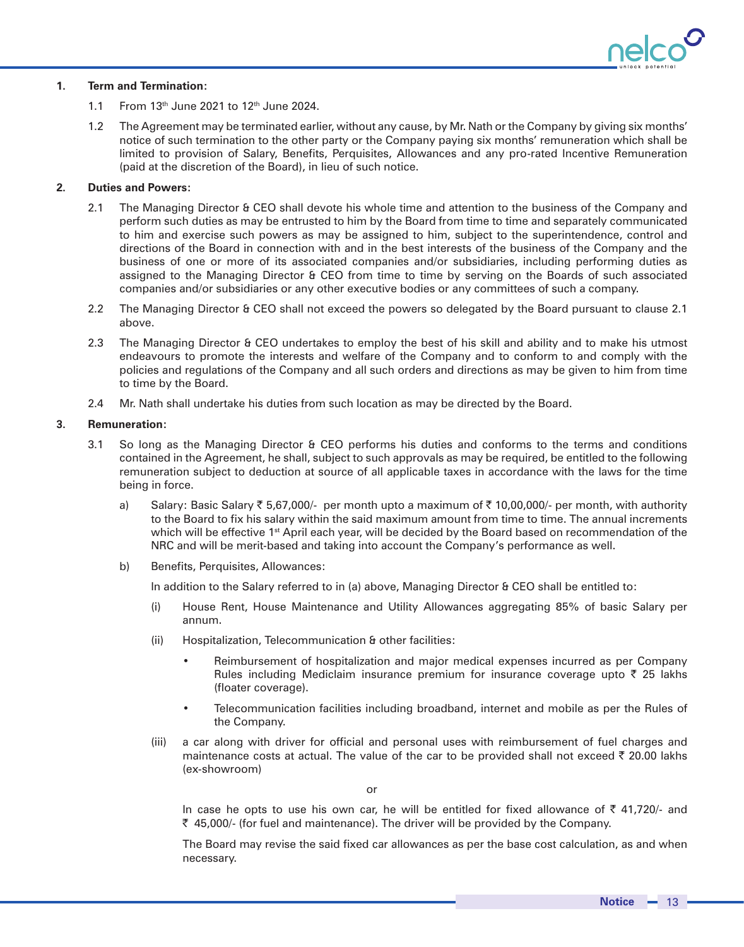

## **1. Term and Termination:**

- 1.1 From  $13<sup>th</sup>$  June 2021 to  $12<sup>th</sup>$  June 2024.
- 1.2 The Agreement may be terminated earlier, without any cause, by Mr. Nath or the Company by giving six months' notice of such termination to the other party or the Company paying six months' remuneration which shall be limited to provision of Salary, Benefits, Perquisites, Allowances and any pro-rated Incentive Remuneration (paid at the discretion of the Board), in lieu of such notice.

## **2. Duties and Powers:**

- 2.1 The Managing Director & CEO shall devote his whole time and attention to the business of the Company and perform such duties as may be entrusted to him by the Board from time to time and separately communicated to him and exercise such powers as may be assigned to him, subject to the superintendence, control and directions of the Board in connection with and in the best interests of the business of the Company and the business of one or more of its associated companies and/or subsidiaries, including performing duties as assigned to the Managing Director & CEO from time to time by serving on the Boards of such associated companies and/or subsidiaries or any other executive bodies or any committees of such a company.
- 2.2 The Managing Director & CEO shall not exceed the powers so delegated by the Board pursuant to clause 2.1 above.
- 2.3 The Managing Director & CEO undertakes to employ the best of his skill and ability and to make his utmost endeavours to promote the interests and welfare of the Company and to conform to and comply with the policies and regulations of the Company and all such orders and directions as may be given to him from time to time by the Board.
- 2.4 Mr. Nath shall undertake his duties from such location as may be directed by the Board.

### **3. Remuneration:**

- 3.1 So long as the Managing Director & CEO performs his duties and conforms to the terms and conditions contained in the Agreement, he shall, subject to such approvals as may be required, be entitled to the following remuneration subject to deduction at source of all applicable taxes in accordance with the laws for the time being in force.
	- a) Salary: Basic Salary  $\bar{\tau}$  5,67,000/- per month upto a maximum of  $\bar{\tau}$  10,00,000/- per month, with authority to the Board to fix his salary within the said maximum amount from time to time. The annual increments which will be effective 1<sup>st</sup> April each year, will be decided by the Board based on recommendation of the NRC and will be merit-based and taking into account the Company's performance as well.
	- b) Benefits, Perquisites, Allowances:

In addition to the Salary referred to in (a) above, Managing Director & CEO shall be entitled to:

- (i) House Rent, House Maintenance and Utility Allowances aggregating 85% of basic Salary per annum.
- (ii) Hospitalization, Telecommunication & other facilities:
	- Reimbursement of hospitalization and major medical expenses incurred as per Company Rules including Mediclaim insurance premium for insurance coverage upto  $\bar{\tau}$  25 lakhs (floater coverage).
	- Telecommunication facilities including broadband, internet and mobile as per the Rules of the Company.
- (iii) a car along with driver for official and personal uses with reimbursement of fuel charges and maintenance costs at actual. The value of the car to be provided shall not exceed  $\bar{\tau}$  20.00 lakhs (ex-showroom)

or

In case he opts to use his own car, he will be entitled for fixed allowance of  $\bar{\tau}$  41,720/- and ` 45,000/- (for fuel and maintenance). The driver will be provided by the Company.

The Board may revise the said fixed car allowances as per the base cost calculation, as and when necessary.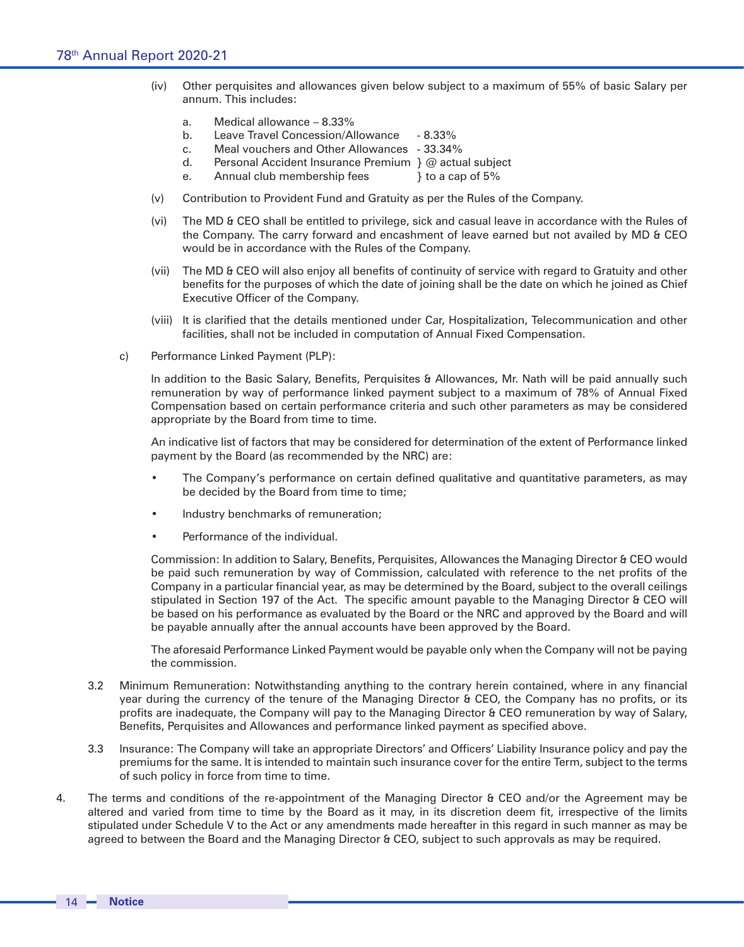- (iv) Other perquisites and allowances given below subject to a maximum of 55% of basic Salary per annum. This includes:
	- a. Medical allowance 8.33%
	- b. Leave Travel Concession/Allowance 8.33%
	- c. Meal vouchers and Other Allowances 33.34%
	- d. Personal Accident Insurance Premium } @ actual subject
	- e. Annual club membership fees a cap of 5%
- (v) Contribution to Provident Fund and Gratuity as per the Rules of the Company.
- (vi) The MD & CEO shall be entitled to privilege, sick and casual leave in accordance with the Rules of the Company. The carry forward and encashment of leave earned but not availed by MD & CEO would be in accordance with the Rules of the Company.
- (vii) The MD & CEO will also enjoy all benefits of continuity of service with regard to Gratuity and other benefits for the purposes of which the date of joining shall be the date on which he joined as Chief Executive Officer of the Company.
- (viii) It is clarified that the details mentioned under Car, Hospitalization, Telecommunication and other facilities, shall not be included in computation of Annual Fixed Compensation.
- c) Performance Linked Payment (PLP):

In addition to the Basic Salary, Benefits, Perquisites & Allowances, Mr. Nath will be paid annually such remuneration by way of performance linked payment subject to a maximum of 78% of Annual Fixed Compensation based on certain performance criteria and such other parameters as may be considered appropriate by the Board from time to time.

An indicative list of factors that may be considered for determination of the extent of Performance linked payment by the Board (as recommended by the NRC) are:

- The Company's performance on certain defined qualitative and quantitative parameters, as may be decided by the Board from time to time;
- Industry benchmarks of remuneration;
- Performance of the individual.

Commission: In addition to Salary, Benefits, Perquisites, Allowances the Managing Director & CEO would be paid such remuneration by way of Commission, calculated with reference to the net profits of the Company in a particular financial year, as may be determined by the Board, subject to the overall ceilings stipulated in Section 197 of the Act. The specific amount payable to the Managing Director & CEO will be based on his performance as evaluated by the Board or the NRC and approved by the Board and will be payable annually after the annual accounts have been approved by the Board.

The aforesaid Performance Linked Payment would be payable only when the Company will not be paying the commission.

- 3.2 Minimum Remuneration: Notwithstanding anything to the contrary herein contained, where in any financial year during the currency of the tenure of the Managing Director & CEO, the Company has no profits, or its profits are inadequate, the Company will pay to the Managing Director & CEO remuneration by way of Salary, Benefits, Perquisites and Allowances and performance linked payment as specified above.
- 3.3 Insurance: The Company will take an appropriate Directors' and Officers' Liability Insurance policy and pay the premiums for the same. It is intended to maintain such insurance cover for the entire Term, subject to the terms of such policy in force from time to time.
- 4. The terms and conditions of the re-appointment of the Managing Director & CEO and/or the Agreement may be altered and varied from time to time by the Board as it may, in its discretion deem fit, irrespective of the limits stipulated under Schedule V to the Act or any amendments made hereafter in this regard in such manner as may be agreed to between the Board and the Managing Director & CEO, subject to such approvals as may be required.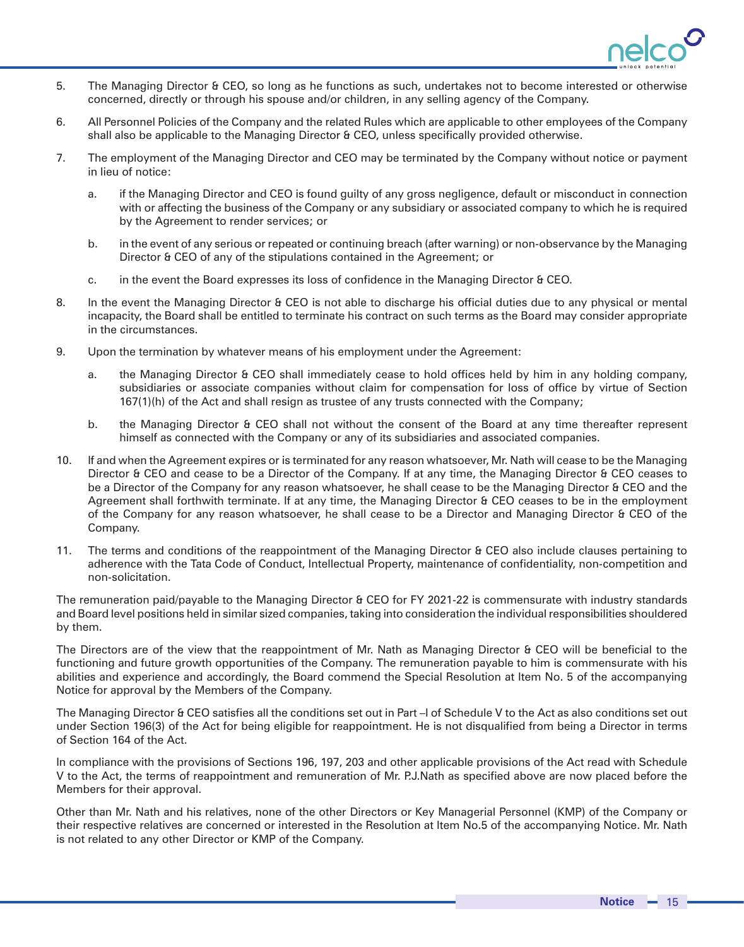

- 5. The Managing Director & CEO, so long as he functions as such, undertakes not to become interested or otherwise concerned, directly or through his spouse and/or children, in any selling agency of the Company.
- 6. All Personnel Policies of the Company and the related Rules which are applicable to other employees of the Company shall also be applicable to the Managing Director & CEO, unless specifically provided otherwise.
- 7. The employment of the Managing Director and CEO may be terminated by the Company without notice or payment in lieu of notice:
	- a. if the Managing Director and CEO is found guilty of any gross negligence, default or misconduct in connection with or affecting the business of the Company or any subsidiary or associated company to which he is required by the Agreement to render services; or
	- b. in the event of any serious or repeated or continuing breach (after warning) or non-observance by the Managing Director & CEO of any of the stipulations contained in the Agreement; or
	- c. in the event the Board expresses its loss of confidence in the Managing Director & CEO.
- 8. In the event the Managing Director & CEO is not able to discharge his official duties due to any physical or mental incapacity, the Board shall be entitled to terminate his contract on such terms as the Board may consider appropriate in the circumstances.
- 9. Upon the termination by whatever means of his employment under the Agreement:
	- a. the Managing Director & CEO shall immediately cease to hold offices held by him in any holding company, subsidiaries or associate companies without claim for compensation for loss of office by virtue of Section 167(1)(h) of the Act and shall resign as trustee of any trusts connected with the Company;
	- b. the Managing Director & CEO shall not without the consent of the Board at any time thereafter represent himself as connected with the Company or any of its subsidiaries and associated companies.
- 10. If and when the Agreement expires or is terminated for any reason whatsoever, Mr. Nath will cease to be the Managing Director & CEO and cease to be a Director of the Company. If at any time, the Managing Director & CEO ceases to be a Director of the Company for any reason whatsoever, he shall cease to be the Managing Director & CEO and the Agreement shall forthwith terminate. If at any time, the Managing Director & CEO ceases to be in the employment of the Company for any reason whatsoever, he shall cease to be a Director and Managing Director & CEO of the Company.
- 11. The terms and conditions of the reappointment of the Managing Director & CEO also include clauses pertaining to adherence with the Tata Code of Conduct, Intellectual Property, maintenance of confidentiality, non-competition and non-solicitation.

The remuneration paid/payable to the Managing Director & CEO for FY 2021-22 is commensurate with industry standards and Board level positions held in similar sized companies, taking into consideration the individual responsibilities shouldered by them.

The Directors are of the view that the reappointment of Mr. Nath as Managing Director & CEO will be beneficial to the functioning and future growth opportunities of the Company. The remuneration payable to him is commensurate with his abilities and experience and accordingly, the Board commend the Special Resolution at Item No. 5 of the accompanying Notice for approval by the Members of the Company.

The Managing Director & CEO satisfies all the conditions set out in Part –I of Schedule V to the Act as also conditions set out under Section 196(3) of the Act for being eligible for reappointment. He is not disqualified from being a Director in terms of Section 164 of the Act.

In compliance with the provisions of Sections 196, 197, 203 and other applicable provisions of the Act read with Schedule V to the Act, the terms of reappointment and remuneration of Mr. P.J.Nath as specified above are now placed before the Members for their approval.

Other than Mr. Nath and his relatives, none of the other Directors or Key Managerial Personnel (KMP) of the Company or their respective relatives are concerned or interested in the Resolution at Item No.5 of the accompanying Notice. Mr. Nath is not related to any other Director or KMP of the Company.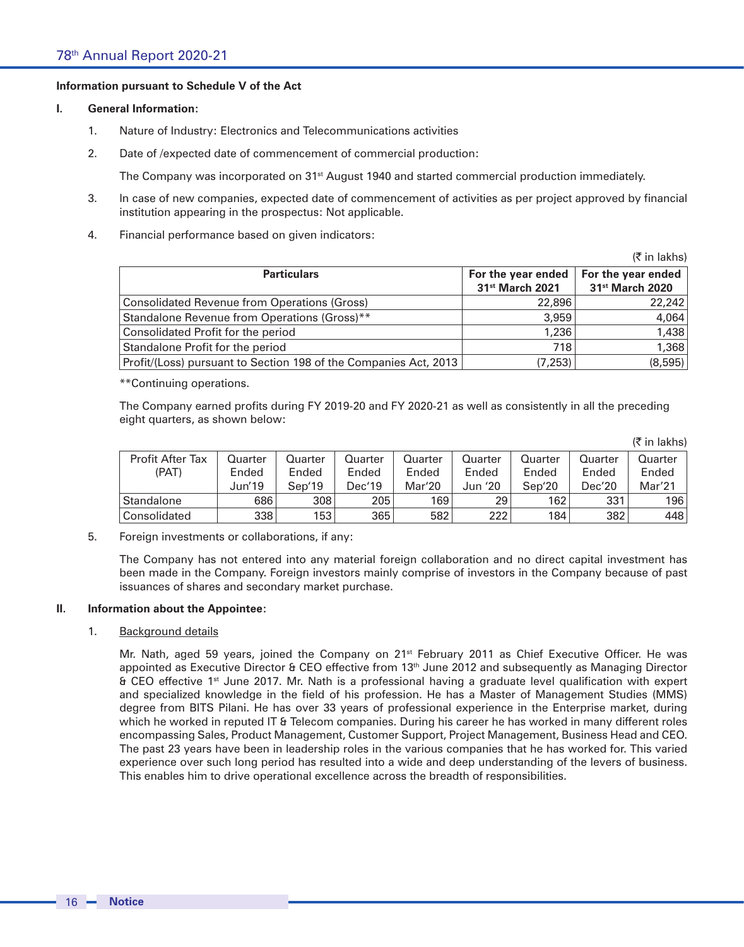## **Information pursuant to Schedule V of the Act**

### **I. General Information:**

- 1. Nature of Industry: Electronics and Telecommunications activities
- 2. Date of /expected date of commencement of commercial production:

The Company was incorporated on 31<sup>st</sup> August 1940 and started commercial production immediately.

- 3. In case of new companies, expected date of commencement of activities as per project approved by financial institution appearing in the prospectus: Not applicable.
- 4. Financial performance based on given indicators:

|                                                                  |                                                   | $(5 \in \mathsf{In} \, \mathsf{lakhs})$           |
|------------------------------------------------------------------|---------------------------------------------------|---------------------------------------------------|
| <b>Particulars</b>                                               | For the year ended<br>31 <sup>st</sup> March 2021 | For the year ended<br>31 <sup>st</sup> March 2020 |
| <b>Consolidated Revenue from Operations (Gross)</b>              | 22,896                                            | 22,242                                            |
| Standalone Revenue from Operations (Gross)**                     | 3,959                                             | 4,064                                             |
| Consolidated Profit for the period                               | 1,236                                             | 1,438                                             |
| Standalone Profit for the period                                 | 718                                               | 1,368                                             |
| Profit/(Loss) pursuant to Section 198 of the Companies Act, 2013 | (7, 253)                                          | (8,595)                                           |

\*\*Continuing operations.

The Company earned profits during FY 2019-20 and FY 2020-21 as well as consistently in all the preceding eight quarters, as shown below:

|                         |         |         |         |         |         |         |         | $\mathcal{N}$ III IANIIS) |
|-------------------------|---------|---------|---------|---------|---------|---------|---------|---------------------------|
| <b>Profit After Tax</b> | Quarter | Quarter | Quarter | Quarter | Ouarter | Quarter | Quarter | Quarter                   |
| (PAT)                   | Ended   | Ended   | Ended   | Ended   | Ended   | Ended   | Ended   | Ended                     |
|                         | Jun'19  | Sep'19  | Dec'19  | Mar'20  | Jun '20 | Sen'20  | Dec'20  | Mar'21                    |
| Standalone              | 686     | 308     | 205     | 169     | 29      | 162     | 331     | 196                       |
| Consolidated            | 338     | 153     | 365     | 582     | 222     | 184     | 382     | 448                       |

 $(\bar{z}$  in lakhel

5. Foreign investments or collaborations, if any:

The Company has not entered into any material foreign collaboration and no direct capital investment has been made in the Company. Foreign investors mainly comprise of investors in the Company because of past issuances of shares and secondary market purchase.

### **II. Information about the Appointee:**

### 1. Background details

Mr. Nath, aged 59 years, joined the Company on 21<sup>st</sup> February 2011 as Chief Executive Officer. He was appointed as Executive Director & CEO effective from 13<sup>th</sup> June 2012 and subsequently as Managing Director & CEO effective 1st June 2017. Mr. Nath is a professional having a graduate level qualification with expert and specialized knowledge in the field of his profession. He has a Master of Management Studies (MMS) degree from BITS Pilani. He has over 33 years of professional experience in the Enterprise market, during which he worked in reputed IT & Telecom companies. During his career he has worked in many different roles encompassing Sales, Product Management, Customer Support, Project Management, Business Head and CEO. The past 23 years have been in leadership roles in the various companies that he has worked for. This varied experience over such long period has resulted into a wide and deep understanding of the levers of business. This enables him to drive operational excellence across the breadth of responsibilities.

16 **Notice**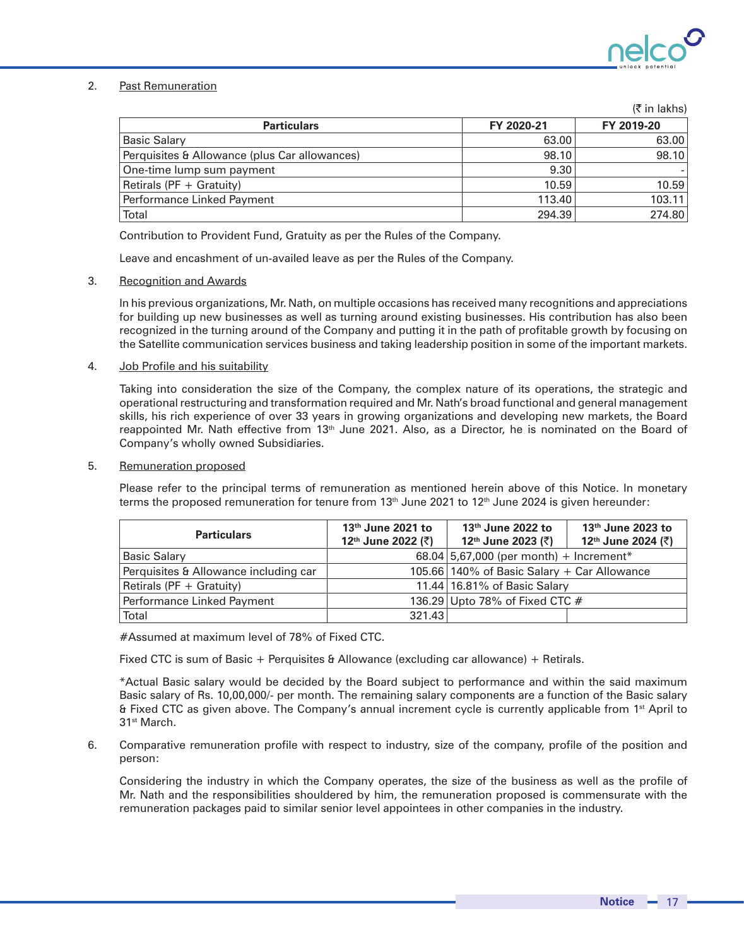

(` in lakhs)

# 2. Past Remuneration

|                                               |            | $(5 \, \text{III})$ 1081151 |
|-----------------------------------------------|------------|-----------------------------|
| <b>Particulars</b>                            | FY 2020-21 | FY 2019-20                  |
| Basic Salary                                  | 63.00      | 63,00                       |
| Perquisites & Allowance (plus Car allowances) | 98.10      | 98.10                       |
| One-time lump sum payment                     | 9.30       |                             |
| Retirals (PF + Gratuity)                      | 10.59      | 10.59                       |
| Performance Linked Payment                    | 113.40     | 103.11                      |
| Total                                         | 294.39     | 274.80                      |

Contribution to Provident Fund, Gratuity as per the Rules of the Company.

Leave and encashment of un-availed leave as per the Rules of the Company.

### 3. Recognition and Awards

In his previous organizations, Mr. Nath, on multiple occasions has received many recognitions and appreciations for building up new businesses as well as turning around existing businesses. His contribution has also been recognized in the turning around of the Company and putting it in the path of profitable growth by focusing on the Satellite communication services business and taking leadership position in some of the important markets.

### 4. Job Profile and his suitability

Taking into consideration the size of the Company, the complex nature of its operations, the strategic and operational restructuring and transformation required and Mr. Nath's broad functional and general management skills, his rich experience of over 33 years in growing organizations and developing new markets, the Board reappointed Mr. Nath effective from 13<sup>th</sup> June 2021. Also, as a Director, he is nominated on the Board of Company's wholly owned Subsidiaries.

## 5. Remuneration proposed

Please refer to the principal terms of remuneration as mentioned herein above of this Notice. In monetary terms the proposed remuneration for tenure from  $13<sup>th</sup>$  June 2021 to  $12<sup>th</sup>$  June 2024 is given hereunder:

| <b>Particulars</b>                    | 13 <sup>th</sup> June 2021 to<br>12 <sup>th</sup> June 2022 (₹) | $13th$ June 2022 to<br>12 <sup>th</sup> June 2023 (₹) | $13th$ June 2023 to<br>12 <sup>th</sup> June 2024 (₹) |
|---------------------------------------|-----------------------------------------------------------------|-------------------------------------------------------|-------------------------------------------------------|
| <b>Basic Salary</b>                   |                                                                 | 68.04 $ 5,67,000$ (per month) + Increment*            |                                                       |
| Perquisites & Allowance including car |                                                                 | 105.66 140% of Basic Salary + Car Allowance           |                                                       |
| Retirals (PF + Gratuity)              |                                                                 | 11.44 16.81% of Basic Salary                          |                                                       |
| Performance Linked Payment            |                                                                 | 136.29 Upto 78% of Fixed CTC $#$                      |                                                       |
| Total                                 | 321.43                                                          |                                                       |                                                       |

#Assumed at maximum level of 78% of Fixed CTC.

Fixed CTC is sum of Basic + Perquisites & Allowance (excluding car allowance) + Retirals.

\*Actual Basic salary would be decided by the Board subject to performance and within the said maximum Basic salary of Rs. 10,00,000/- per month. The remaining salary components are a function of the Basic salary & Fixed CTC as given above. The Company's annual increment cycle is currently applicable from 1st April to 31st March.

6. Comparative remuneration profile with respect to industry, size of the company, profile of the position and person:

Considering the industry in which the Company operates, the size of the business as well as the profile of Mr. Nath and the responsibilities shouldered by him, the remuneration proposed is commensurate with the remuneration packages paid to similar senior level appointees in other companies in the industry.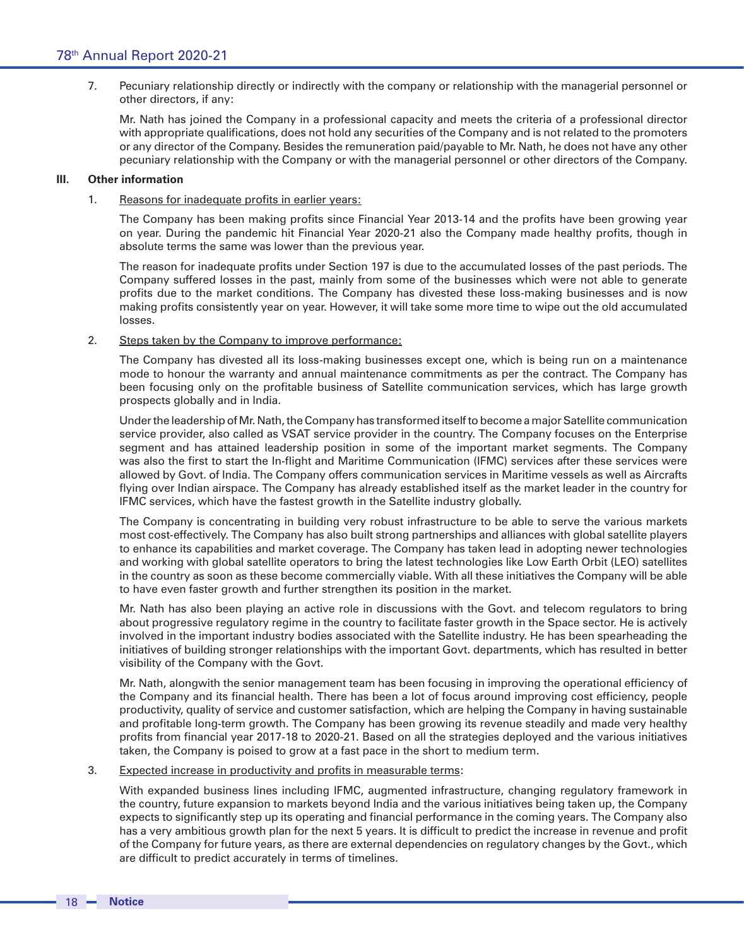7. Pecuniary relationship directly or indirectly with the company or relationship with the managerial personnel or other directors, if any:

Mr. Nath has joined the Company in a professional capacity and meets the criteria of a professional director with appropriate qualifications, does not hold any securities of the Company and is not related to the promoters or any director of the Company. Besides the remuneration paid/payable to Mr. Nath, he does not have any other pecuniary relationship with the Company or with the managerial personnel or other directors of the Company.

## **III. Other information**

1. Reasons for inadequate profits in earlier years:

The Company has been making profits since Financial Year 2013-14 and the profits have been growing year on year. During the pandemic hit Financial Year 2020-21 also the Company made healthy profits, though in absolute terms the same was lower than the previous year.

The reason for inadequate profits under Section 197 is due to the accumulated losses of the past periods. The Company suffered losses in the past, mainly from some of the businesses which were not able to generate profits due to the market conditions. The Company has divested these loss-making businesses and is now making profits consistently year on year. However, it will take some more time to wipe out the old accumulated losses.

2. Steps taken by the Company to improve performance:

The Company has divested all its loss-making businesses except one, which is being run on a maintenance mode to honour the warranty and annual maintenance commitments as per the contract. The Company has been focusing only on the profitable business of Satellite communication services, which has large growth prospects globally and in India.

Under the leadership of Mr. Nath, the Company has transformed itself to become a major Satellite communication service provider, also called as VSAT service provider in the country. The Company focuses on the Enterprise segment and has attained leadership position in some of the important market segments. The Company was also the first to start the In-flight and Maritime Communication (IFMC) services after these services were allowed by Govt. of India. The Company offers communication services in Maritime vessels as well as Aircrafts flying over Indian airspace. The Company has already established itself as the market leader in the country for IFMC services, which have the fastest growth in the Satellite industry globally.

The Company is concentrating in building very robust infrastructure to be able to serve the various markets most cost-effectively. The Company has also built strong partnerships and alliances with global satellite players to enhance its capabilities and market coverage. The Company has taken lead in adopting newer technologies and working with global satellite operators to bring the latest technologies like Low Earth Orbit (LEO) satellites in the country as soon as these become commercially viable. With all these initiatives the Company will be able to have even faster growth and further strengthen its position in the market.

Mr. Nath has also been playing an active role in discussions with the Govt. and telecom regulators to bring about progressive regulatory regime in the country to facilitate faster growth in the Space sector. He is actively involved in the important industry bodies associated with the Satellite industry. He has been spearheading the initiatives of building stronger relationships with the important Govt. departments, which has resulted in better visibility of the Company with the Govt.

Mr. Nath, alongwith the senior management team has been focusing in improving the operational efficiency of the Company and its financial health. There has been a lot of focus around improving cost efficiency, people productivity, quality of service and customer satisfaction, which are helping the Company in having sustainable and profitable long-term growth. The Company has been growing its revenue steadily and made very healthy profits from financial year 2017-18 to 2020-21. Based on all the strategies deployed and the various initiatives taken, the Company is poised to grow at a fast pace in the short to medium term.

# 3. Expected increase in productivity and profits in measurable terms:

With expanded business lines including IFMC, augmented infrastructure, changing regulatory framework in the country, future expansion to markets beyond India and the various initiatives being taken up, the Company expects to significantly step up its operating and financial performance in the coming years. The Company also has a very ambitious growth plan for the next 5 years. It is difficult to predict the increase in revenue and profit of the Company for future years, as there are external dependencies on regulatory changes by the Govt., which are difficult to predict accurately in terms of timelines.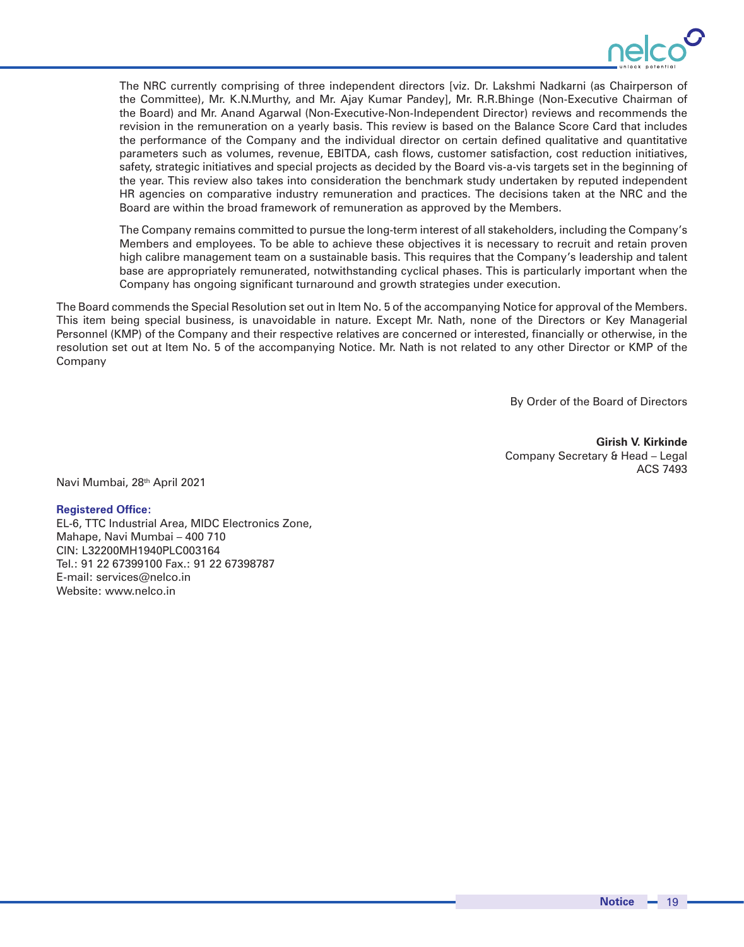

The NRC currently comprising of three independent directors [viz. Dr. Lakshmi Nadkarni (as Chairperson of the Committee), Mr. K.N.Murthy, and Mr. Ajay Kumar Pandey], Mr. R.R.Bhinge (Non-Executive Chairman of the Board) and Mr. Anand Agarwal (Non-Executive-Non-Independent Director) reviews and recommends the revision in the remuneration on a yearly basis. This review is based on the Balance Score Card that includes the performance of the Company and the individual director on certain defined qualitative and quantitative parameters such as volumes, revenue, EBITDA, cash flows, customer satisfaction, cost reduction initiatives, safety, strategic initiatives and special projects as decided by the Board vis-a-vis targets set in the beginning of the year. This review also takes into consideration the benchmark study undertaken by reputed independent HR agencies on comparative industry remuneration and practices. The decisions taken at the NRC and the Board are within the broad framework of remuneration as approved by the Members.

The Company remains committed to pursue the long-term interest of all stakeholders, including the Company's Members and employees. To be able to achieve these objectives it is necessary to recruit and retain proven high calibre management team on a sustainable basis. This requires that the Company's leadership and talent base are appropriately remunerated, notwithstanding cyclical phases. This is particularly important when the Company has ongoing significant turnaround and growth strategies under execution.

The Board commends the Special Resolution set out in Item No. 5 of the accompanying Notice for approval of the Members. This item being special business, is unavoidable in nature. Except Mr. Nath, none of the Directors or Key Managerial Personnel (KMP) of the Company and their respective relatives are concerned or interested, financially or otherwise, in the resolution set out at Item No. 5 of the accompanying Notice. Mr. Nath is not related to any other Director or KMP of the Company

By Order of the Board of Directors

**Girish V. Kirkinde** Company Secretary & Head – Legal ACS 7493

Navi Mumbai, 28th April 2021

### **Registered Office:**

EL-6, TTC Industrial Area, MIDC Electronics Zone, Mahape, Navi Mumbai – 400 710 CIN: L32200MH1940PLC003164 Tel.: 91 22 67399100 Fax.: 91 22 67398787 E-mail: services@nelco.in Website: www.nelco.in